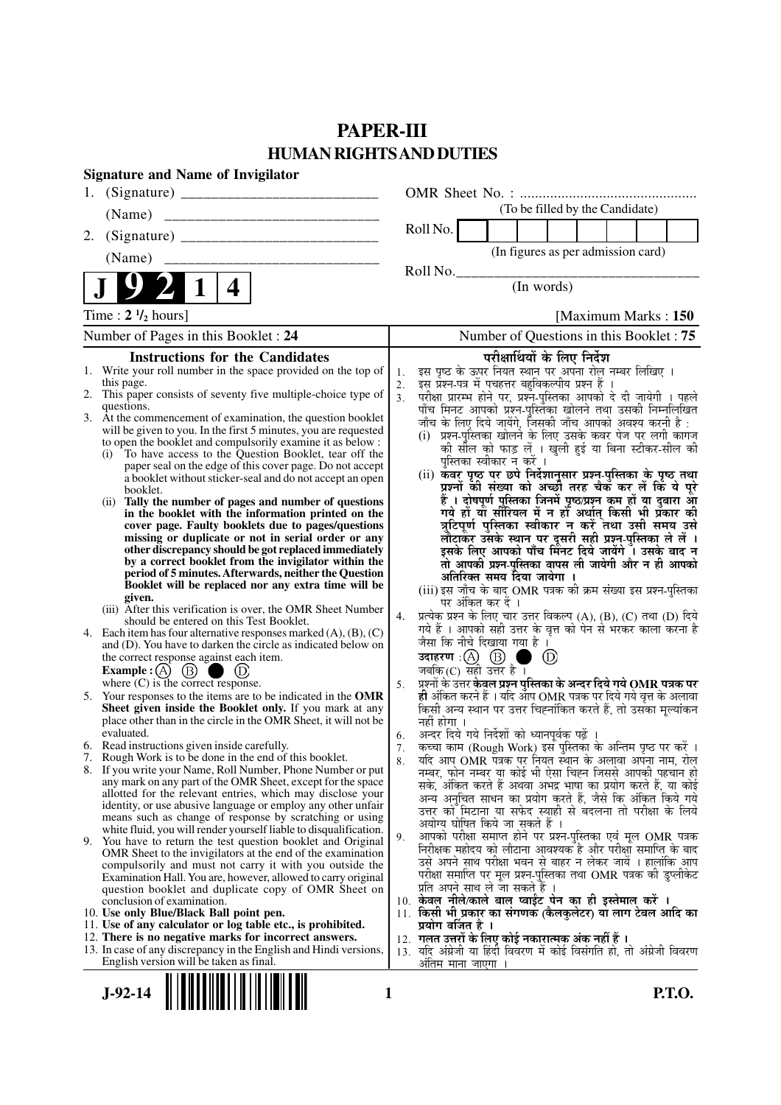# **PAPER-III HUMAN RIGHTS AND DUTIES**

|    | <b>Signature and Name of Invigilator</b>                                                                                                 |                |                                                                                                                                     |
|----|------------------------------------------------------------------------------------------------------------------------------------------|----------------|-------------------------------------------------------------------------------------------------------------------------------------|
| 1. |                                                                                                                                          |                |                                                                                                                                     |
|    | (Name)                                                                                                                                   |                | (To be filled by the Candidate)                                                                                                     |
| 2. |                                                                                                                                          |                | Roll No.                                                                                                                            |
|    | (Name)                                                                                                                                   |                | (In figures as per admission card)                                                                                                  |
|    | 4                                                                                                                                        |                | Roll No.<br>(In words)                                                                                                              |
|    | Time : $2 \frac{1}{2}$ hours]                                                                                                            |                | [Maximum Marks: 150]                                                                                                                |
|    | Number of Pages in this Booklet: 24                                                                                                      |                | Number of Questions in this Booklet: 75                                                                                             |
|    | <b>Instructions for the Candidates</b>                                                                                                   |                | परीक्षार्थियों के लिए निर्देश                                                                                                       |
|    | 1. Write your roll number in the space provided on the top of                                                                            | 1.             | इस पृष्ठ के ऊपर नियत स्थान पर अपना रोल नम्बर लिखिए ।                                                                                |
|    | this page.<br>2. This paper consists of seventy five multiple-choice type of                                                             | 2.             | इस प्रश्न-पत्र में पचहत्तर बहुविकल्पीय प्रश्न हैं ।                                                                                 |
|    | questions.                                                                                                                               | 3 <sub>1</sub> | परीक्षा प्रारम्भ होने पर, प्रश्न-पुस्तिका आपको दे दी जायेगी । पहले<br>पाँच मिनट आपको प्रश्न-पुस्तिका खोलने तथा उसकी निम्नलिखित      |
|    | 3. At the commencement of examination, the question booklet                                                                              |                | जाँच के लिए दिये जायेंगे, जिसकी जाँच आपको अवश्य करनी है :                                                                           |
|    | will be given to you. In the first 5 minutes, you are requested                                                                          |                | (i) प्रश्न-पुस्तिका खोलने के लिए उसके कवर पेज पर लगी कागज                                                                           |
|    | to open the booklet and compulsorily examine it as below :                                                                               |                | की सील को फाड़ लें । खुली हुई या बिना स्टीकर-सील की                                                                                 |
|    | To have access to the Question Booklet, tear off the<br>(i)<br>paper seal on the edge of this cover page. Do not accept                  |                | पुस्तिका स्वीकार न करें ।                                                                                                           |
|    | a booklet without sticker-seal and do not accept an open                                                                                 |                | (ii) कवर पृष्ठ पर छपे निर्देशानुसार प्रश्न्-पुस्तिका के पृष्ठ तथा                                                                   |
|    | booklet.                                                                                                                                 |                | प्रश्नों की संख्या को अच्छों तरह चैक कर लें कि ये पूरे                                                                              |
|    | (ii) Tally the number of pages and number of questions                                                                                   |                | हैं । दोषपूर्ण पुस्तिका जिनमें पृष्ठ/प्रश्न कम हों या दुबारा आ<br>गये हों या सीरियल में न हों अर्थात् किसी भी प्रकार की             |
|    | in the booklet with the information printed on the<br>cover page. Faulty booklets due to pages/questions                                 |                | त्रुटिपूर्ण पुस्तिका स्वीकार न करें तथा उसी समय उसे                                                                                 |
|    | missing or duplicate or not in serial order or any                                                                                       |                | लौटाकर उसके स्थान पर दूसरी सही प्रश्न-पुस्तिका ले लें ।                                                                             |
|    | other discrepancy should be got replaced immediately                                                                                     |                | इसके लिए आपको पाँच मिनट दिये जायेंगे । उसके बाद न                                                                                   |
|    | by a correct booklet from the invigilator within the                                                                                     |                | तो आपकी प्रश्न-पुस्तिका वापस ली जायेगी और न ही आपको                                                                                 |
|    | period of 5 minutes. Afterwards, neither the Question<br>Booklet will be replaced nor any extra time will be                             |                | अतिरिक्त समय दिया जायेगा ।                                                                                                          |
|    | given.                                                                                                                                   |                | (iii) इस जाँच के बाद OMR पत्रक की क्रम संख्या इस प्रश्न-पुस्तिका                                                                    |
|    | (iii) After this verification is over, the OMR Sheet Number                                                                              |                | पर अंकित कर दें ।                                                                                                                   |
|    | should be entered on this Test Booklet.                                                                                                  | 4.             | प्रत्येक प्रश्न के लिए चार उत्तर विकल्प (A), (B), (C) तथा (D) दिये<br>गये हैं । आपको सही उत्तर के वृत्त को पेन से भरकर काला करना है |
|    | 4. Each item has four alternative responses marked $(A)$ , $(B)$ , $(C)$<br>and (D). You have to darken the circle as indicated below on |                | जैसा कि नीचे दिखाया गया है।                                                                                                         |
|    | the correct response against each item.                                                                                                  |                | उदाहरण $\,$ :( $\,\mathrm{(A)}$ $\,$ $\mathrm{(B)}$<br>$\circled{D}$                                                                |
|    | Example : (A) $(B)$<br>(D)                                                                                                               |                | जबकि(C) सही उत्तर है ।                                                                                                              |
|    | where $(C)$ is the correct response.                                                                                                     | 5.             | प्रश्नों के उत्तर केवल प्रश्न पुस्तिका के अन्दर दिये गये OMR पत्रक पर                                                               |
|    | 5. Your responses to the items are to be indicated in the OMR                                                                            |                | ही अंकित करने हैं । यदि आप OMR पत्रक पर दिये गये वृत्त के अलावा                                                                     |
|    | Sheet given inside the Booklet only. If you mark at any                                                                                  |                | किसी अन्य स्थान पर उत्तर चिह्नांकित करते हैं, तो उसका मूल्यांकन                                                                     |
|    | place other than in the circle in the OMR Sheet, it will not be<br>evaluated.                                                            |                | नहीं होगा ।                                                                                                                         |
|    | 6. Read instructions given inside carefully.                                                                                             | 6.<br>7.       | अन्दर दिये गये निर्देशों को ध्यानपूर्वक पढ़ें ।<br>कच्चा काम (Rough Work) इस पुस्तिका के अन्तिम पृष्ठ पर करें ।                     |
|    | 7. Rough Work is to be done in the end of this booklet.                                                                                  | 8.             | यदि आप OMR पत्रक पर नियत स्थान के अलावा अपना नाम, रोल                                                                               |
|    | 8. If you write your Name, Roll Number, Phone Number or put                                                                              |                | नम्बर, फोन नम्बर या कोई भी ऐसा चिह्न जिससे आपकी पहचान हो                                                                            |
|    | any mark on any part of the OMR Sheet, except for the space                                                                              |                | सके, अंकित करते हैं अथवा अभद्र भाषा का प्रयोग करते हैं, या कोई                                                                      |
|    | allotted for the relevant entries, which may disclose your<br>identity, or use abusive language or employ any other unfair               |                | अन्य अनुचित साधन का प्रयोग करते हैं, जैसे कि अंकित किये गये                                                                         |
|    | means such as change of response by scratching or using                                                                                  |                | उत्तर को मिटाना या सफेद स्याही से बदलना तो परीक्षा के लिये                                                                          |
|    | white fluid, you will render yourself liable to disqualification.                                                                        |                | अयोग्य घोषित किये जा सकते हैं ।<br>आपको परीक्षा समाप्त होने पर प्रश्न-पुस्तिका एवं मूल OMR पत्रक                                    |
|    | 9. You have to return the test question booklet and Original                                                                             | 9.             | निरीक्षक महोदय को लौटाना आवश्यक है और परीक्षा समाप्ति के बाद                                                                        |
|    | OMR Sheet to the invigilators at the end of the examination<br>compulsorily and must not carry it with you outside the                   |                | उसे अपने साथ परीक्षा भवन से बाहर न लेकर जायें । हालांकि आप                                                                          |
|    | Examination Hall. You are, however, allowed to carry original                                                                            |                | परीक्षा समाप्ति पर मूल प्रश्न-पुस्तिका तथा OMR पत्रक की डुप्लीकेट                                                                   |
|    | question booklet and duplicate copy of OMR Sheet on                                                                                      |                | प्रति अपने साथ ले जा सकते हैं ।                                                                                                     |
|    | conclusion of examination.                                                                                                               |                | 10. केवल नीले/काले बाल प्वाईंट पेन का ही इस्तेमाल करें ।                                                                            |
|    | 10. Use only Blue/Black Ball point pen.                                                                                                  |                | 11. किसी भी प्रकार का संगणक (कैलकुलेटर) या लाग टेबल आदि का                                                                          |
|    | 11. Use of any calculator or log table etc., is prohibited.<br>12. There is no negative marks for incorrect answers.                     |                | प्रयोग वर्जित है ।<br>12. गलत उत्तरों के लिए कोई नकारात्मक अंक नहीं हैं ।                                                           |
|    | 13. In case of any discrepancy in the English and Hindi versions,                                                                        |                | 13. यदि अंग्रेजी या हिंदी विवरण में कोई विसंगति हो, तो अंग्रेजी विवरण                                                               |
|    | English version will be taken as final.                                                                                                  |                | अंतिम माना जाएगा ।                                                                                                                  |
|    |                                                                                                                                          |                |                                                                                                                                     |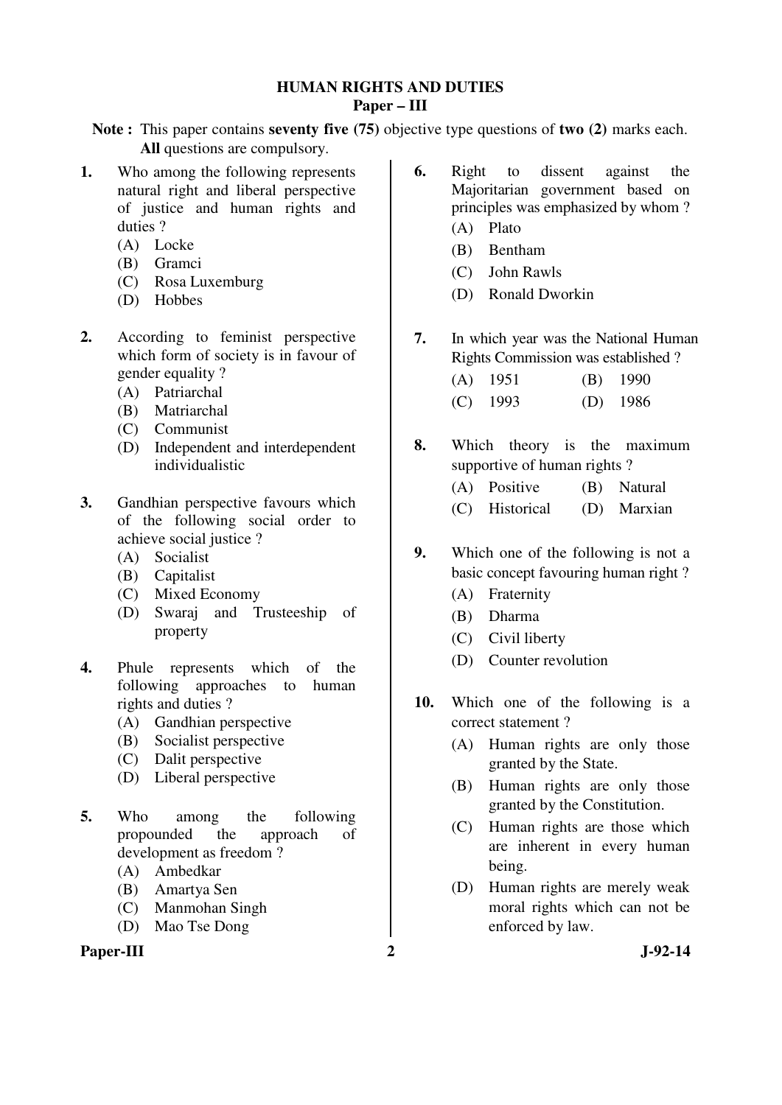### **HUMAN RIGHTS AND DUTIES Paper – III**

**Note :** This paper contains **seventy five (75)** objective type questions of **two (2)** marks each. **All** questions are compulsory.

- **1.** Who among the following represents natural right and liberal perspective of justice and human rights and duties ?
	- (A) Locke
	- (B) Gramci
	- (C) Rosa Luxemburg
	- (D) Hobbes
- **2.** According to feminist perspective which form of society is in favour of gender equality ?
	- (A) Patriarchal
	- (B) Matriarchal
	- (C) Communist
	- (D) Independent and interdependent individualistic
- **3.** Gandhian perspective favours which of the following social order to achieve social justice ?
	- (A) Socialist
	- (B) Capitalist
	- (C) Mixed Economy
	- (D) Swaraj and Trusteeship of property
- **4.** Phule represents which of the following approaches to human rights and duties ?
	- (A) Gandhian perspective
	- (B) Socialist perspective
	- (C) Dalit perspective
	- (D) Liberal perspective
- **5.** Who among the following propounded the approach of development as freedom ?
	- (A) Ambedkar
	- (B) Amartya Sen
	- (C) Manmohan Singh
	- (D) Mao Tse Dong

## Paper-III 2 J-92-14

- **6.** Right to dissent against the Majoritarian government based on principles was emphasized by whom ? (A) Plato
	-
	- (B) Bentham
	- (C) John Rawls
	- (D) Ronald Dworkin
- **7.** In which year was the National Human Rights Commission was established ?
	- (A) 1951 (B) 1990 (C) 1993 (D) 1986
- **8.** Which theory is the maximum supportive of human rights ?
	- (A) Positive (B) Natural
	- (C) Historical (D) Marxian
- **9.** Which one of the following is not a basic concept favouring human right ?
	- (A) Fraternity
	- (B) Dharma
	- (C) Civil liberty
	- (D) Counter revolution
- **10.** Which one of the following is a correct statement ?
	- (A) Human rights are only those granted by the State.
	- (B) Human rights are only those granted by the Constitution.
	- (C) Human rights are those which are inherent in every human being.
	- (D) Human rights are merely weak moral rights which can not be enforced by law.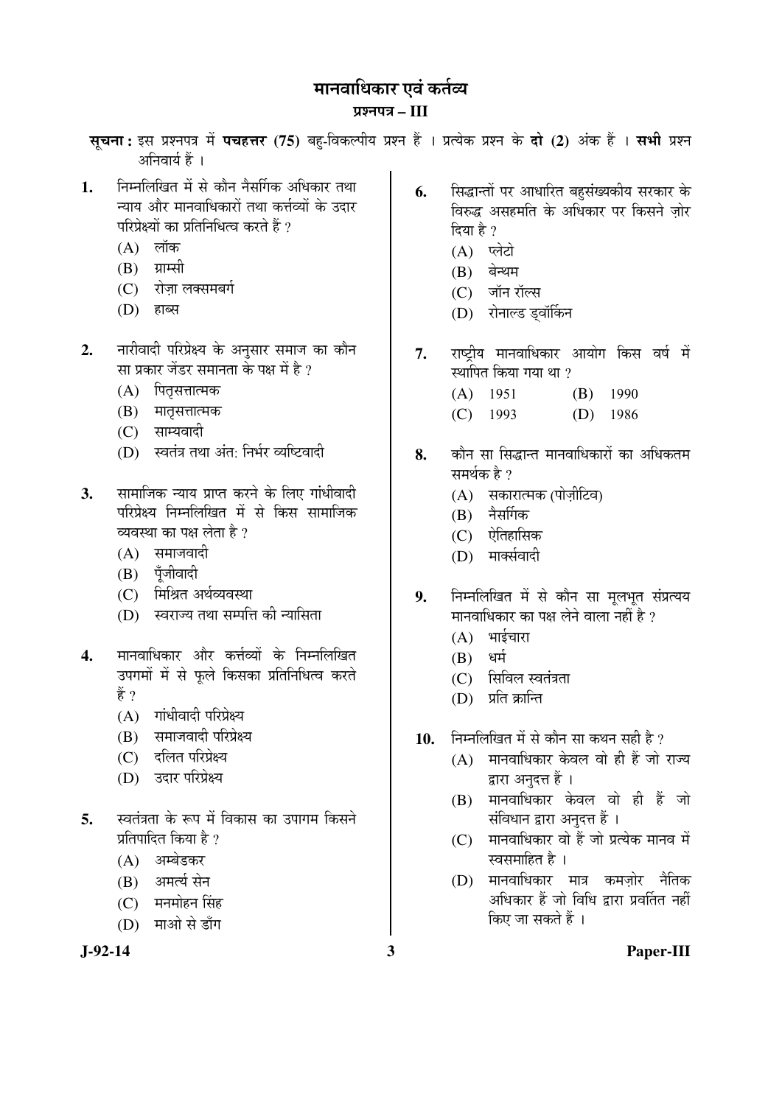## मानवाधिकार एवं कर्तव्य

## ¯ÖÏ¿®Ö¯Ö¡Ö **– III**

सूचना: इस प्रश्नपत्र में पचहत्तर (75) बहु-विकल्पीय प्रश्न हैं । प्रत्येक प्रश्न के दो (2) अंक हैं । सभी प्रश्न अनिवार्य हैं ।

- 1. निम्नलिखित में से कौन नैसर्गिक अधिकार तथा <u>न्याय और मानवाधिकारों तथा कर्त्तव्यों के उदार</u> परिप्रेक्ष्यों का प्रतिनिधित्व करते हैं ?
	- $(A)$  लॉक
	- $(B)$  ग्राम्सी
	- (C) रोजा लक्समबर्ग
	- (D) हाब्स
- 2. नारीवादी परिप्रेक्ष्य के अनुसार समाज का कौन सा प्रकार जेंडर समानता के पक्ष में है ?
	- (A) पितृसत्तात्मक
	- (B) मातसत्तात्मक
	- $(C)$  साम्यवादी
	- (D) स्वतंत्र तथा अंत: निर्भर व्यष्टिवादी
- **3.** सामाजिक न्याय प्राप्त करने के लिए गांधीवादी परिप्रेक्ष्य निम्नलिखित में से किस सामाजिक व्यवस्था का पक्ष लेता है ?
	- $(A)$  समाजवादी
	- (B) पॅजीवादी
	- (C) मिश्रित अर्थव्यवस्था
	- (D) स्वराज्य तथा सम्पत्ति की न्यासिता
- 4. मानवाधिकार और कर्त्तव्यों के निम्नलिखित उपगमों में से फूले किसका प्रतिनिधित्व करते हें ?
	- $(A)$  गांधीवादी परिप्रेक्ष्य
	- (B) समाजवादी परिप्रेक्ष्य
	- (C) दलित परिप्रेक्ष्य
	- (D) उदार परिप्रेक्ष्य
- 5. स्वतंत्रता के रूप में विकास का उपागम किसने प्रतिपादित किया है ?
	- (A) अम्बेडकर
	- (B) अमर्त्य सेन
	- (C) मनमोहन सिंह
	- (D) माओ से डाँग

- **6.** सिद्धान्तों पर आधारित बहुसंख्यकीय सरकार के <u>विरुद्ध असहमति के अधिकार पर किसने जोर</u> दिया है ?
	- $(A)$  प्लेटो
	- $(B)$  बेन्थम
	- (C) जॉन रॉल्स
	- (D) रोनाल्ड डवॉर्किन
- 7. राष्ट्रीय मानवाधिकार आयोग किस वर्ष में स्थापित किया गया था ?
	- (A) 1951 (B) 1990
	- (C) 1993 (D) 1986
- **8.** कौन सा सिद्धान्त मानवाधिकारों का अधिकतम समर्थक है ?
	- (A) सकारात्मक (पोज़ीटिव)
	- $(B)$  नैसर्गिक
	- $(C)$  ऐतिहासिक
	- (D) मार्क्सवादी
- 9. निम्नलिखित में से कौन सा मूलभूत संप्रत्यय मानवाधिकार का पक्ष लेने वाला नहीं है ?
	- $(A)$  भाईचारा
	- $(B)$  धर्म
	- $(C)$  सिविल स्वतंत्रता
	- (D) प्रति क्रान्ति
- 10. निम्नलिखित में से कौन सा कथन सही है ?
	- $(A)$  मानवाधिकार केवल वो ही हैं जो राज्य द्वारा अनुदत्त हैं ।
	- $(B)$  मानवाधिकार केवल वो ही हैं जो संविधान द्वारा अनुदत्त हैं ।
	- $(C)$  मानवाधिकार वो हैं जो प्रत्येक मानव में स्वसमाहित है ।
	- (D) मानवाधिकार मात्र कमज़ोर नैतिक अधिकार हैं जो विधि द्रारा प्रवर्तित नहीं किए जा सकते हैं ।

**J-92-14 3 Paper-III**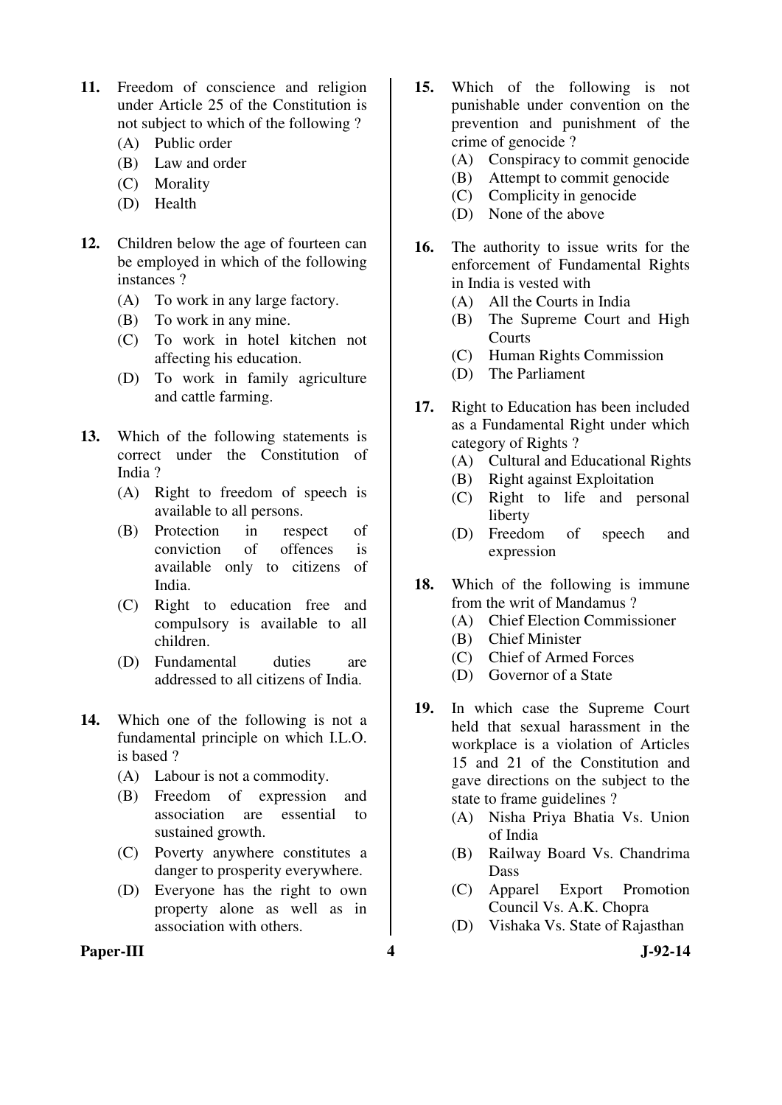- **11.** Freedom of conscience and religion under Article 25 of the Constitution is not subject to which of the following ?
	- (A) Public order
	- (B) Law and order
	- (C) Morality
	- (D) Health
- **12.** Children below the age of fourteen can be employed in which of the following instances ?
	- (A) To work in any large factory.
	- (B) To work in any mine.
	- (C) To work in hotel kitchen not affecting his education.
	- (D) To work in family agriculture and cattle farming.
- **13.** Which of the following statements is correct under the Constitution of India ?
	- (A) Right to freedom of speech is available to all persons.
	- (B) Protection in respect of conviction of offences is available only to citizens of India.
	- (C) Right to education free and compulsory is available to all children.
	- (D) Fundamental duties are addressed to all citizens of India.
- **14.** Which one of the following is not a fundamental principle on which I.L.O. is based ?
	- (A) Labour is not a commodity.
	- (B) Freedom of expression and association are essential to sustained growth.
	- (C) Poverty anywhere constitutes a danger to prosperity everywhere.
	- (D) Everyone has the right to own property alone as well as in association with others.
- **15.** Which of the following is not punishable under convention on the prevention and punishment of the crime of genocide ?
	- (A) Conspiracy to commit genocide
	- (B) Attempt to commit genocide
	- (C) Complicity in genocide
	- (D) None of the above
- **16.** The authority to issue writs for the enforcement of Fundamental Rights in India is vested with
	- (A) All the Courts in India
	- (B) The Supreme Court and High Courts
	- (C) Human Rights Commission
	- (D) The Parliament
- **17.** Right to Education has been included as a Fundamental Right under which category of Rights ?
	- (A) Cultural and Educational Rights
	- (B) Right against Exploitation
	- (C) Right to life and personal liberty
	- (D) Freedom of speech and expression
- **18.** Which of the following is immune from the writ of Mandamus ?
	- (A) Chief Election Commissioner
	- (B) Chief Minister
	- (C) Chief of Armed Forces
	- (D) Governor of a State
- **19.** In which case the Supreme Court held that sexual harassment in the workplace is a violation of Articles 15 and 21 of the Constitution and gave directions on the subject to the state to frame guidelines ?
	- (A) Nisha Priya Bhatia Vs. Union of India
	- (B) Railway Board Vs. Chandrima Dass
	- (C) Apparel Export Promotion Council Vs. A.K. Chopra
	- (D) Vishaka Vs. State of Rajasthan

Paper-III **4** J-92-14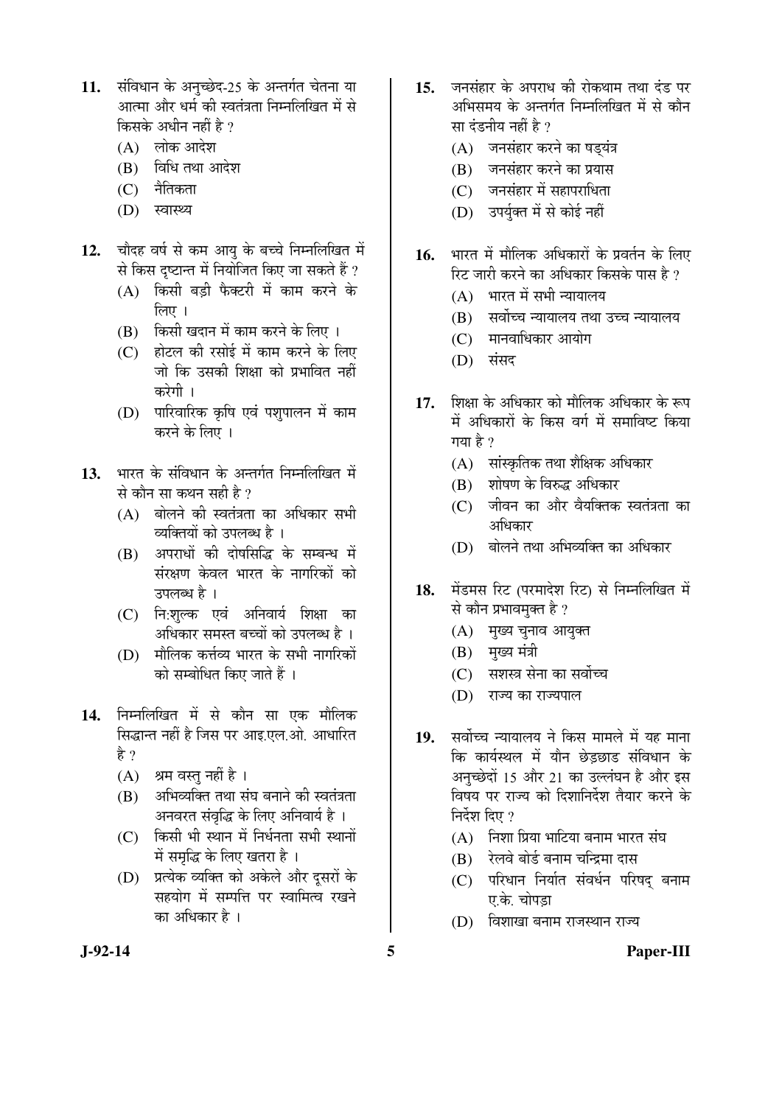- 11. संविधान के अनुच्छेद-25 के अन्तर्गत चेतना या आत्मा और धर्म की स्वतंत्रता निम्नलिखित में से किसके अधीन नहीं है  $\overline{v}$ 
	- $(A)$  लोक आदेश
	- $(B)$  विधि तथा आदेश
	- (C) नैतिकता
	- (D) स्वास्थ्य
- 12. चौदह वर्ष से कम आयु के बच्चे निम्नलिखित में से किस दृष्टान्त में नियोजित किए जा सकते हैं ?
	- $(A)$  किसी बड़ी फैक्टरी में काम करने के  $\hat{b}$ लाग $\hat{a}$  ।
	- (B) किसी खदान में काम करने के लिए ।
	- $(C)$  होटल की रसोई में काम करने के लिए <u>जो कि उसकी शिक्षा को प्रभावित नहीं</u> करेगी ।
	- (D) पारिवारिक कृषि एवं पशुपालन में काम करने के लिए ।
- 13. भारत के संविधान के अन्तर्गत निम्नलिखित में से कौन सा कथन सही है ?
	- $(A)$  बोलने की स्वतंत्रता का अधिकार सभी व्यक्तियों को उपलब्ध है ।
	- (B) अपराधों की दोषसिद्धि के सम्बन्ध में संरक्षण केवल भारत के नागरिकों को उपलब्ध है ।
	- (C) नि:शुल्क एवं अनिवार्य शिक्षा का अधिकार समस्त बच्चों को उपलब्ध है ।
	- $(D)$  मौलिक कर्त्तव्य भारत के सभी नागरिकों को सम्बोधित किए जाते हैं ।
- 14. निम्नलिखित में से कौन सा एक मौलिक सिद्धान्त नहीं है जिस पर आइ.एल.ओ. आधारित है ?
	- (A) श्रम वस्तु नहीं है ।
	- (B) अभिव्यक्ति तथा संघ बनाने की स्वतंत्रता अनवरत संवृद्धि के लिए अनिवार्य है ।
	- $(C)$  किसी भी स्थान में निर्धनता सभी स्थानों में समुद्धि के लिए खतरा है ।
	- (D) प्रत्येक व्यक्ति को अकेले और दुसरों के सहयोग में सम्पत्ति पर स्वामित्व रखने का अधिकार है ।
- 15. जनसंहार के अपराध की रोकथाम तथा दंड पर अभिसमय के अन्तर्गत निम्नलिखित में से कौन सा दंडनीय नहीं है ?
	- (A) जनसंहार करने का षड्यंत्र
	- (B) जनसंहार करने का प्रयास
	- (C) जनसंहार में सहापराधिता
	- (D) उपर्युक्त में से कोई नहीं
- 16. भारत में मौलिक अधिकारों के प्रवर्तन के लिए रिट जारी करने का अधिकार किसके पास है ?
	- $(A)$  भारत में सभी न्यायालय
	- $(B)$  सर्वोच्च न्यायालय तथा उच्च न्यायालय
	- $(C)$  मानवाधिकार आयोग
	- $(D)$  संसद
- 17. शिक्षा के अधिकार को मौलिक अधिकार के रूप में अधिकारों के किस वर्ग में समाविष्ट किया गया है  $\gamma$ 
	- $(A)$  सांस्कृतिक तथा शैक्षिक अधिकार
	- (B) शोषण के विरुद्ध अधिकार
	- $(C)$  जीवन का और वैयक्तिक स्वतंत्रता का आधिकार
	- (D) बोलने तथा अभिव्यक्ति का अधिकार
- 18. मेंडमस रिट (परमादेश रिट) से निम्नलिखित में से कौन प्रभावमुक्त है ?
	- (A) मुख्य चुनाव आयुक्त
	- $(B)$  मुख्य मंत्री
	- $(C)$  सशस्त्र सेना का सर्वोच्च
	- (D) राज्य का राज्यपाल
- 19. सर्वोच्च न्यायालय ने किस मामले में यह माना कि कार्यस्थल में यौन छेड़छाड संविधान के अनुच्छेदों 15 और 21 का उल्लंघन है और इस विषय पर राज्य को दिशानिर्देश तैयार करने के निर्देश दिए $\,$  ?
	- $(A)$  निशा प्रिया भाटिया बनाम भारत संघ
	- (B) रेलवे बोर्ड बनाम चन्द्रिमा दास
	- (C) परिधान निर्यात संवर्धन परिषद् बनाम ए.के. चोपडा
	- (D) विशाखा बनाम राजस्थान राज्य

### **J-92-14 5 Paper-III**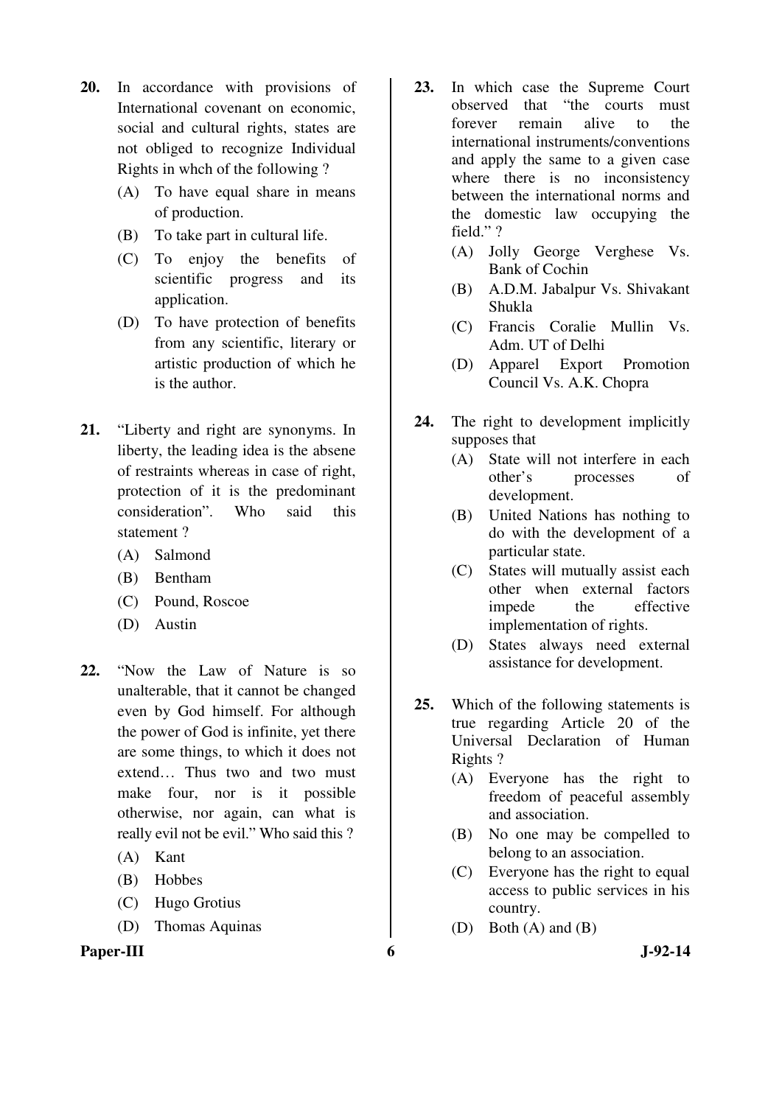- **20.** In accordance with provisions of International covenant on economic, social and cultural rights, states are not obliged to recognize Individual Rights in whch of the following ?
	- (A) To have equal share in means of production.
	- (B) To take part in cultural life.
	- (C) To enjoy the benefits of scientific progress and its application.
	- (D) To have protection of benefits from any scientific, literary or artistic production of which he is the author.
- **21.** "Liberty and right are synonyms. In liberty, the leading idea is the absene of restraints whereas in case of right, protection of it is the predominant consideration". Who said this statement ?
	- (A) Salmond
	- (B) Bentham
	- (C) Pound, Roscoe
	- (D) Austin
- **22.** "Now the Law of Nature is so unalterable, that it cannot be changed even by God himself. For although the power of God is infinite, yet there are some things, to which it does not extend… Thus two and two must make four, nor is it possible otherwise, nor again, can what is really evil not be evil." Who said this ?
	- (A) Kant
	- (B) Hobbes
	- (C) Hugo Grotius
	- (D) Thomas Aquinas

#### **Paper-III 6** J-92-14

- **23.** In which case the Supreme Court observed that "the courts must forever remain alive to the international instruments/conventions and apply the same to a given case where there is no inconsistency between the international norms and the domestic law occupying the field." ?
	- (A) Jolly George Verghese Vs. Bank of Cochin
	- (B) A.D.M. Jabalpur Vs. Shivakant Shukla
	- (C) Francis Coralie Mullin Vs. Adm. UT of Delhi
	- (D) Apparel Export Promotion Council Vs. A.K. Chopra
- **24.** The right to development implicitly supposes that
	- (A) State will not interfere in each other's processes of development.
	- (B) United Nations has nothing to do with the development of a particular state.
	- (C) States will mutually assist each other when external factors impede the effective implementation of rights.
	- (D) States always need external assistance for development.
- **25.** Which of the following statements is true regarding Article 20 of the Universal Declaration of Human Rights ?
	- (A) Everyone has the right to freedom of peaceful assembly and association.
	- (B) No one may be compelled to belong to an association.
	- (C) Everyone has the right to equal access to public services in his country.
	- (D) Both (A) and (B)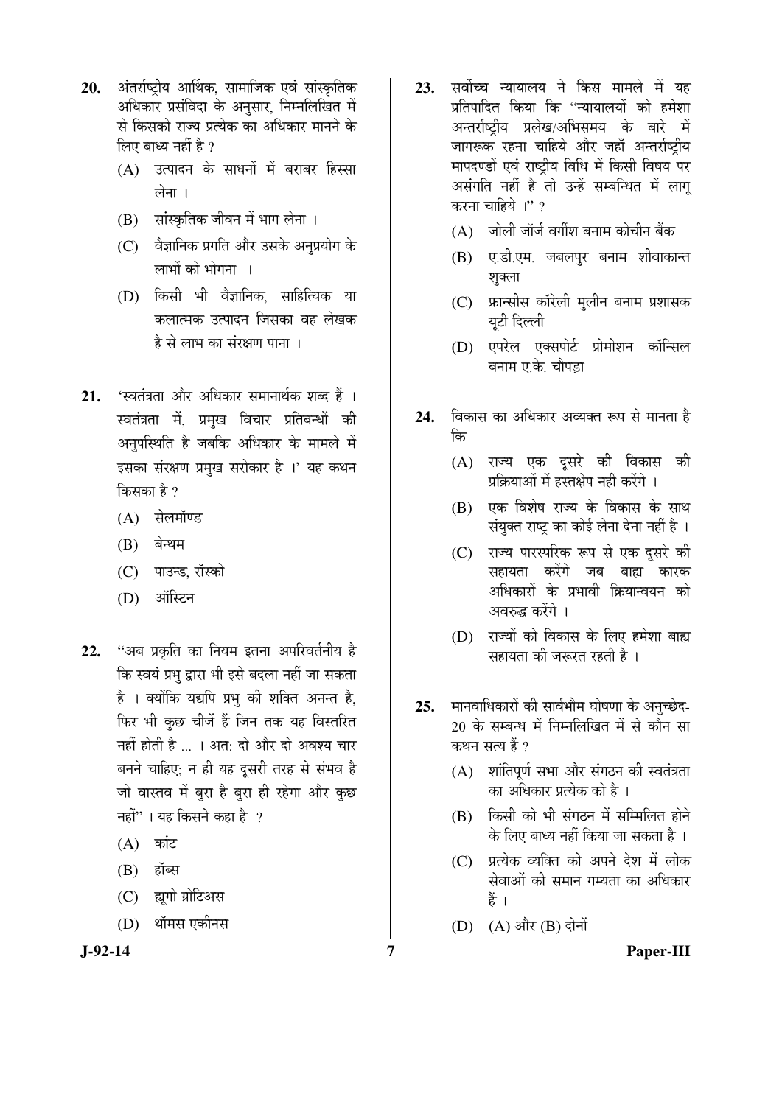- 20. अंतर्राष्टीय आर्थिक, सामाजिक एवं सांस्कृतिक अधिकार प्रसंविदा के अनुसार, निम्नलिखित में से किसको राज्य प्रत्येक का अधिकार मानने के लिए बाध्य नहीं है ?
	- $(A)$  उत्पादन के साधनों में बराबर हिस्सा लेना $\overline{1}$
	- (B) सांस्कृतिक जीवन में भाग लेना ।
	- (C) वैज्ञानिक प्रगति और उसके अनुप्रयोग के लाभों को भोगना ।
	- (D) किसी भी वैज्ञानिक, साहित्यिक या कलात्मक उत्पादन जिसका वह लेखक है से लाभ का संरक्षण पाना ।
- 21. 'स्वतंत्रता और अधिकार समानार्थक शब्द हैं । स्वतंत्रता में, प्रमुख विचार प्रतिबन्धों की अनुपस्थिति है जबकि अधिकार के मामले में इसका संरक्षण प्रमुख सरोकार है ।' यह कथन किसका है $2$ 
	- (A) सेलमॉण्ड
	- $(B)$  बेन्थम
	- (C) पाउन्ड, रॉस्को
	- (D) ऑस्टिन
- 22. "अब प्रकृति का नियम इतना अपरिवर्तनीय है कि स्वयं प्रभु द्वारा भी इसे बदला नहीं जा सकता है । क्योंकि यद्यपि प्रभ की शक्ति अनन्त है. फिर भी कछ चीजें हैं जिन तक यह विस्तरित नहीं होती है ... । अत: दो और दो अवश्य चार बनने चाहिए: न ही यह दुसरी तरह से संभव है <u>जो</u> वास्तव में बूरा है बूरा ही रहेगा और कुछ नहीं"। यह किसने कहा है  $\,$ ?
	- $(A)$  कांट
	- $(B)$  हॉब्स
	- (C) ह्यगो प्रोटिअस
	- (D) थॉमस एकीनस
- 
- 23. सर्वोच्च न्यायालय ने किस मामले में यह प्रतिपादित किया कि ''न्यायालयों को हमेशा अन्तर्राष्ट्रीय प्रलेख/अभिसमय के बारे में जागरूक रहना चाहिये और जहाँ अन्तर्राष्ट्रीय मापदण्डों एवं राष्ट्रीय विधि में किसी विषय पर असंगति नहीं है तो उन्हें सम्बन्धित में लाग् करना चाहिये ।"?
	- $(A)$  नोली जॉर्ज वर्गीश बनाम कोचीन बैंक
	- (B) ए.डी.एम. जबलपुर बनाम शीवाकान्त शुक्ला
	- (C) फ्रान्सीस कॉरेली मुलीन बनाम प्रशासक यूटी दिल्ली
	- (D) एपरेल एक्सपोर्ट प्रोमोशन कॉन्सिल बनाम ए.के. चौपड़ा
- **24.** विकास का अधिकार अव्यक्त रूप से मानता है कि
	- (A) राज्य एक दुसरे की विकास की प्रक्रियाओं में हस्तक्षेप नहीं करेंगे ।
	- (B) एक विशेष राज्य के विकास के साथ संयुक्त राष्ट्र का कोई लेना देना नहीं है ।
	- (C) राज्य पारस्परिक रूप से एक दूसरे की सहायता करेंगे जब बाह्य कारक अधिकारों के प्रभावी क्रियान्वयन को अवरुद्ध करेंगे ।
	- (D) राज्यों को विकास के लिए हमेशा बाह्य सहायता की जरूरत रहती है ।
- 25. मानवाधिकारों की सार्वभौम घोषणा के अनुच्छेद-20 के सम्बन्ध में निम्नलिखित में से कौन सा कथन सत्य हैं ?
	- $(A)$  शांतिपूर्ण सभा और संगठन की स्वतंत्रता का अधिकार प्रत्येक को है ।
	- $(B)$  किसी को भी संगठन में सम्मिलित होने के लिए बाध्य नहीं किया जा सकता है ।
	- $(C)$  प्रत्येक व्यक्ति को अपने देश में लोक सेवाओं की समान गम्यता का अधिकार Æïü …
	- $(D)$   $(A)$  और  $(B)$  दोनों
- **J-92-14 7 Paper-III**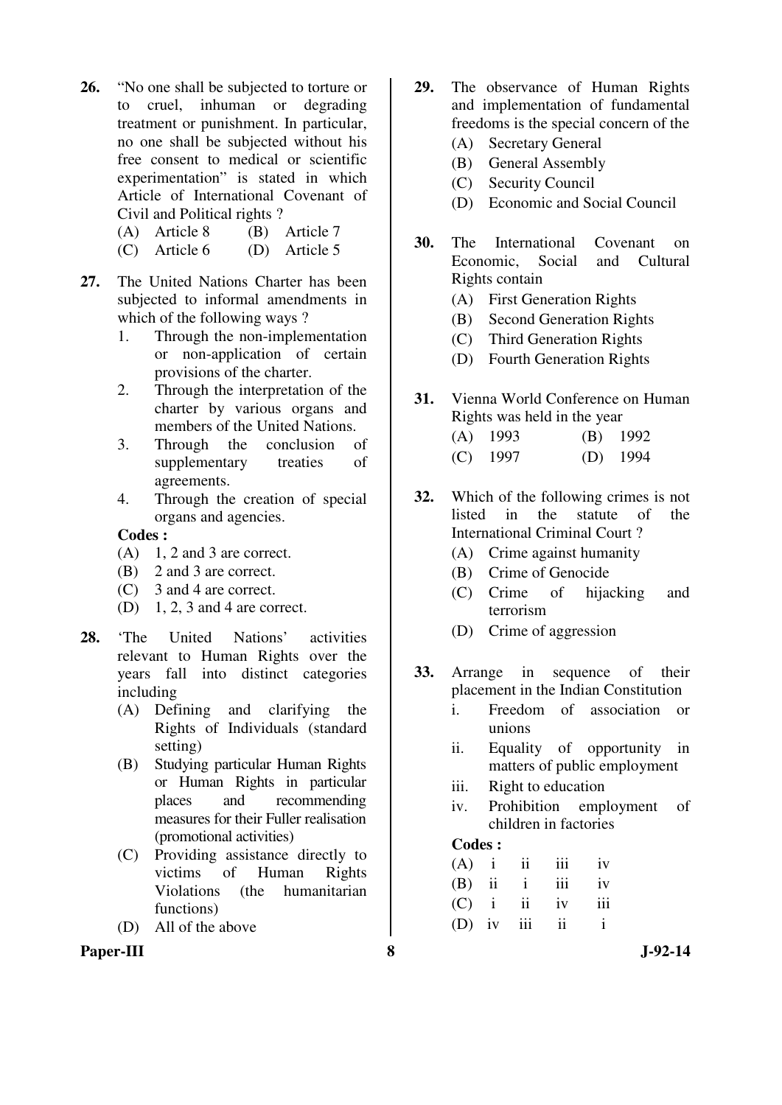- **26.** "No one shall be subjected to torture or to cruel, inhuman or degrading treatment or punishment. In particular, no one shall be subjected without his free consent to medical or scientific experimentation" is stated in which Article of International Covenant of Civil and Political rights ?
	- (A) Article 8 (B) Article 7
	- (C) Article 6 (D) Article 5

**27.** The United Nations Charter has been subjected to informal amendments in which of the following ways?

- 1. Through the non-implementation or non-application of certain provisions of the charter.
- 2. Through the interpretation of the charter by various organs and members of the United Nations.
- 3. Through the conclusion of supplementary treaties of agreements.
- 4. Through the creation of special organs and agencies.

#### **Codes :**

- $(A)$  1, 2 and 3 are correct.
- (B) 2 and 3 are correct.
- (C) 3 and 4 are correct.
- (D) 1, 2, 3 and 4 are correct.
- **28.** 'The United Nations' activities relevant to Human Rights over the years fall into distinct categories including
	- (A) Defining and clarifying the Rights of Individuals (standard setting)
	- (B) Studying particular Human Rights or Human Rights in particular places and recommending measures for their Fuller realisation (promotional activities)
	- (C) Providing assistance directly to victims of Human Rights Violations (the humanitarian functions)
	- (D) All of the above

### **Paper-III 8 J-92-14**

- **29.** The observance of Human Rights and implementation of fundamental freedoms is the special concern of the
	- (A) Secretary General
	- (B) General Assembly
	- (C) Security Council
	- (D) Economic and Social Council
- **30.** The International Covenant on Economic, Social and Cultural Rights contain
	- (A) First Generation Rights
	- (B) Second Generation Rights
	- (C) Third Generation Rights
	- (D) Fourth Generation Rights
- **31.** Vienna World Conference on Human Rights was held in the year
	- (A) 1993 (B) 1992
	- (C) 1997 (D) 1994
- **32.** Which of the following crimes is not listed in the statute of the International Criminal Court ?
	- (A) Crime against humanity
	- (B) Crime of Genocide
	- (C) Crime of hijacking and terrorism
	- (D) Crime of aggression
- **33.** Arrange in sequence of their placement in the Indian Constitution
	- i. Freedom of association or unions
	- ii. Equality of opportunity in matters of public employment
	- iii. Right to education
	- iv. Prohibition employment of children in factories

#### **Codes :**

| $(A)$ i ii iii iv |  |              |
|-------------------|--|--------------|
| $(B)$ ii iii      |  | iv           |
| $(C)$ i ii iv     |  | iii          |
| $(D)$ iv iii ii   |  | $\mathbf{i}$ |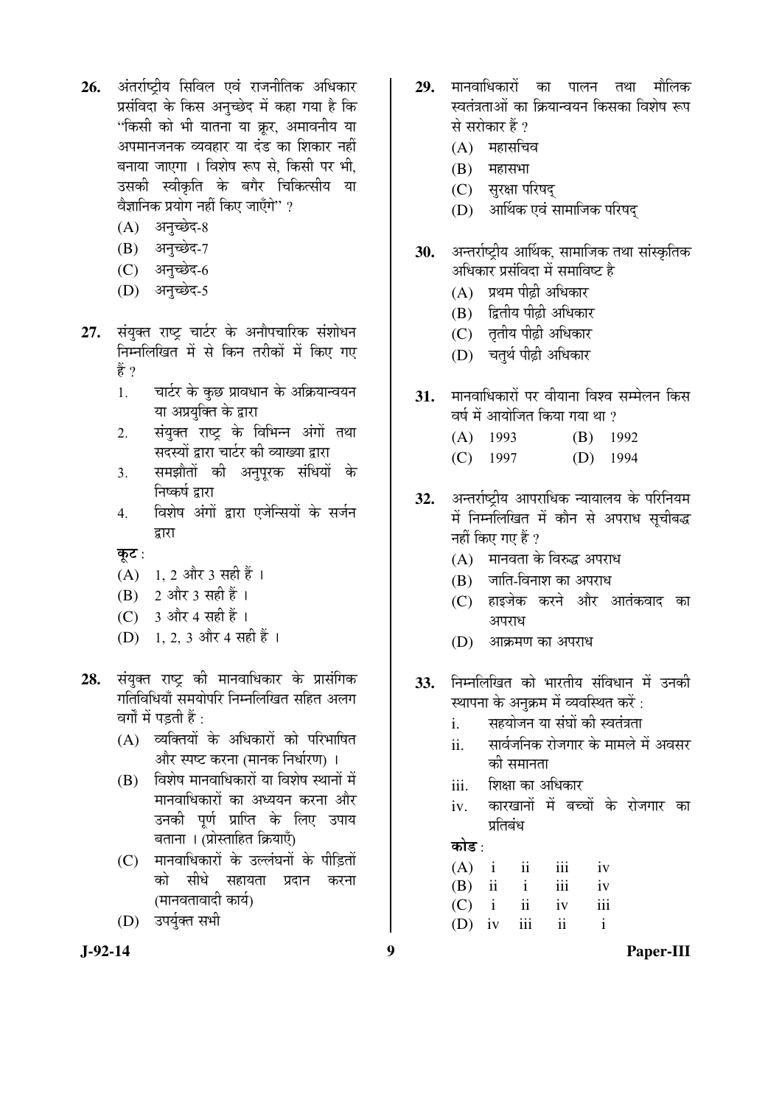- 26. अंतर्राष्टीय सिविल एवं राजनीतिक अधिकार प्रसंविदा के किस अनुच्छेद में कहा गया है कि "किसी को भी यातना या क्रर, अमावनीय या अपमानजनक व्यवहार या दंड का शिकार नहीं बनाया जाएगा । विशेष रूप से. किसी पर भी. उसकी स्वीकृति के बगैर चिकित्सीय या वैज्ञानिक प्रयोग नहीं किए जाएँगे $^{\prime\prime}$  ?
	- (A) अनुच्छेद-8
	- $(B)$  अनुच्छेद-7
	- (C) अनच्छेद-6
	- (D) अनुच्छेद-5
- 27. संयुक्त राष्ट्र चार्टर के अनौपचारिक संशोधन निम्नलिखित में से किन तरीकों में किए गए हें ?
	- 1. वार्टर के कुछ प्रावधान के अक्रियान्वयन या अप्रयक्ति के द्वारा
	- 2. संयुक्त राष्ट्र के विभिन्न अंगों तथा सदस्यों द्वारा चार्टर की व्याख्या द्वारा
	- 3. समझौतों की अनुपुरक संधियों के निष्कर्ष द्वारा
	- 4. विशेष अंगों द्वारा एजेन्सियों के सर्जन द्वारा

कूट:

- $(A)$  1, 2 और 3 सही हैं।
- $(B)$  2 और 3 सही हैं।
- $(C)$  3 और 4 सही हैं।
- (D) 1, 2, 3 और 4 सही हैं ।
- 28. संयुक्त राष्ट्र की मानवाधिकार के प्रासंगिक गतिविधियाँ समयोपरि निम्नलिखित सहित अलग वर्गों में पडती हैं $\cdot$ 
	- $(A)$  व्यक्तियों के अधिकारों को परिभाषित और स्पष्ट करना (मानक निर्धारण) ।
	- $(B)$  विशेष मानवाधिकारों या विशेष स्थानों में मानवाधिकारों का अध्ययन करना और उनकी पूर्ण प्राप्ति के लिए उपाय बताना । (प्रोस्ताहित क्रियाएँ)
	- (C) मानवाधिकारों के उल्लंघनों के पीडितों को सीधे सहायता प्रदान करना (मानवतावादी कार्य)
	- (D) उपर्युक्त सभी
- 29. मानवाधिकारों का पालन तथा मौलिक स्वतंत्रताओं का क्रियान्वयन किसका विशेष रूप से सरोकार हैं ?
	- $(A)$  महासचिव
	- $(B)$  महासभा
	- (C) सुरक्षा परिषद्
	- (D) आर्थिक एवं सामाजिक परिषद
- 30. अन्तर्राष्ट्रीय आर्थिक, सामाजिक तथा सांस्कृतिक अधिकार प्रसंविदा में समाविष्ट है
	- $(A)$  प्रथम पीढी अधिकार
	- (B) द्वितीय पीढी अधिकार
	- (C) तृतीय पीढ़ी अधिकार
	- (D) चतुर्थ पीढ़ी अधिकार
- 31. FIIHAI EERI EI EI EIHEI TARA EERI EERI  $\vec{a}$ छर्ष में आयोजित किया गया था ?
	- (A) 1993 (B) 1992 (C) 1997 (D) 1994
- 32. अन्तर्राष्ट्रीय आपराधिक न्यायालय के परिनियम में निम्नलिखित में कौन से अपराध सुचीबद्ध नहीं किए गए हैं ?
	- $(A)$  मानवता के विरुद्ध अपराध
	- $(B)$  जाति-विनाश का अपराध
	- (C) हाइजेक करने और आतंकवाद का अपराध
	- $(D)$  आक्रमण का अपराध
- **33.** निम्नलिखित को भारतीय संविधान में उनकी स्थापना के अनुक्रम में व्यवस्थित करें :
	- i. सहयोजन या संघों की स्वतंत्रता
	- ii. सार्वजनिक रोजगार के मामले में अवसर की समानता
	- iii. Þoman <del>an siðuan e</del>
	- iv. कारखानों में बच्चों के रोजगार का प्रतिबंध

## कोड :

|                 |               | $(A)$ i ii iii iv |
|-----------------|---------------|-------------------|
| $(B)$ ii i      | iii           | iv                |
|                 | $(C)$ i ii iv | iii               |
| $(D)$ iv iii ii |               |                   |

**J-92-14 9 Paper-III**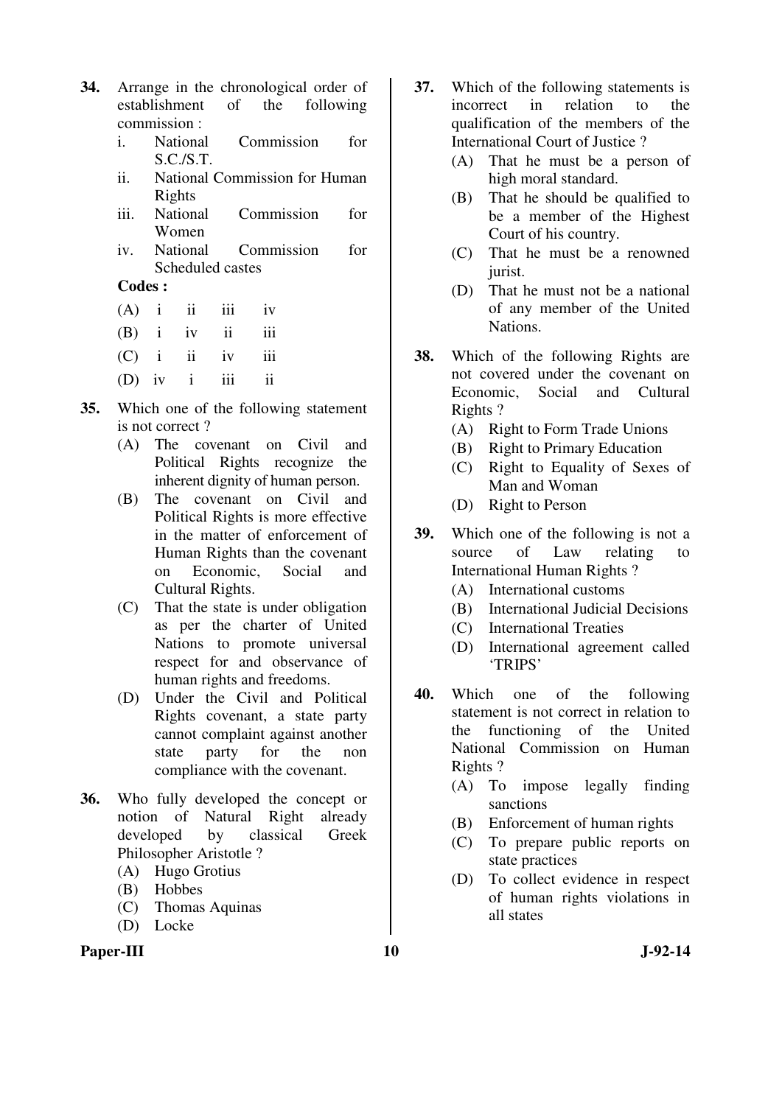- **34.** Arrange in the chronological order of establishment of the following commission :
	- i. National Commission for S.C./S.T.
	- ii. National Commission for Human Rights
	- iii. National Commission for Women
	- iv. National Commission for Scheduled castes

#### **Codes :**

- $(A)$  i ii iii iv
- $(B)$  i iv ii iii
- $(C)$  i ii iv iii
- (D) iv i iii ii
- **35.** Which one of the following statement is not correct ?
	- (A) The covenant on Civil and Political Rights recognize the inherent dignity of human person.
	- (B) The covenant on Civil and Political Rights is more effective in the matter of enforcement of Human Rights than the covenant on Economic, Social and Cultural Rights.
	- (C) That the state is under obligation as per the charter of United Nations to promote universal respect for and observance of human rights and freedoms.
	- (D) Under the Civil and Political Rights covenant, a state party cannot complaint against another state party for the non compliance with the covenant.
- **36.** Who fully developed the concept or notion of Natural Right already developed by classical Greek Philosopher Aristotle ?
	- (A) Hugo Grotius
	- (B) Hobbes
	- (C) Thomas Aquinas
	- (D) Locke

#### **37.** Which of the following statements is incorrect in relation to the qualification of the members of the International Court of Justice ?

- (A) That he must be a person of high moral standard.
- (B) That he should be qualified to be a member of the Highest Court of his country.
- (C) That he must be a renowned jurist.
- (D) That he must not be a national of any member of the United Nations.
- **38.** Which of the following Rights are not covered under the covenant on Economic, Social and Cultural Rights ?
	- (A) Right to Form Trade Unions
	- (B) Right to Primary Education
	- (C) Right to Equality of Sexes of Man and Woman
	- (D) Right to Person
- **39.** Which one of the following is not a source of Law relating to International Human Rights ?
	- (A) International customs
	- (B) International Judicial Decisions
	- (C) International Treaties
	- (D) International agreement called 'TRIPS'
- **40.** Which one of the following statement is not correct in relation to the functioning of the United National Commission on Human Rights ?
	- (A) To impose legally finding sanctions
	- (B) Enforcement of human rights
	- (C) To prepare public reports on state practices
	- (D) To collect evidence in respect of human rights violations in all states

Paper-III **10** J-92-14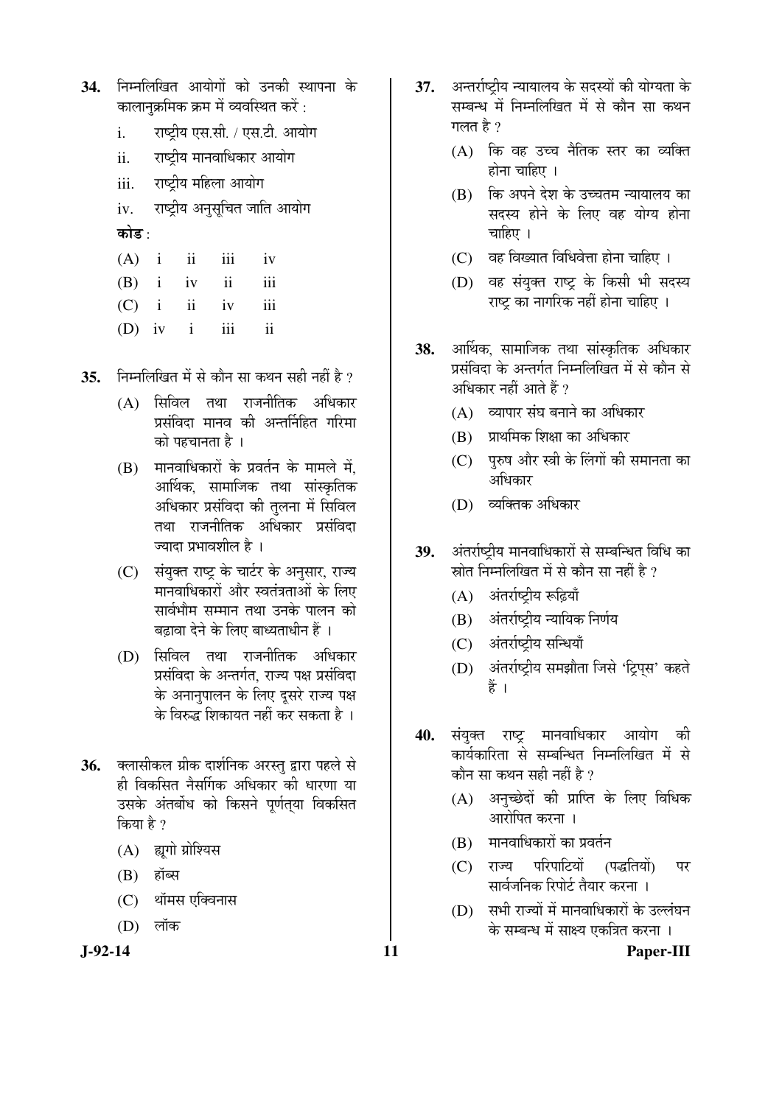- 34. निम्नलिखित आयोगों को उनकी स्थापना के कालानक्रमिक क्रम में व्यवस्थित करें :
	- i. सष्ट्रीय एस.सी. / एस.टी. आयोग
	- ii. राष्ट्रीय मानवाधिकार आयोग
	- iii. राष्ट्रीय महिला आयोग
	- iv. राष्ट्रीय अनुसूचित जाति आयोग कोड :
	- $(A)$  i ii iii iv
	- $(B)$  i iv ii iii
	- (C) i ii iv iii
	- (D) iv i iii ii
- **35.** FED FED THE REST OF THE THE THE THE THE THE RESET OF  $\frac{1}{2}$ 
	- $(A)$  सिविल तथा राजनीतिक अधिकार प्रसंविदा मानव की अन्तर्निहित गरिमा को पहचानता है ।
	- $(B)$  गानवाधिकारों के प्रवर्तन के मामले में. आर्थिक, सामाजिक तथा सांस्कृतिक अधिकार प्रसंविदा की तुलना में सिविल तथा राजनीतिक अधिकार प्रसंविदा ज्यादा प्रभावशील है ।
	- (C) संयुक्त राष्ट्र के चार्टर के अनुसार, राज्य मानवाधिकारों और स्वतंत्रताओं के लिए सार्वभौम सम्मान तथा उनके पालन को बढ़ावा देने के लिए बाध्यताधीन हैं ।
	- (D) सिविल तथा राजनीतिक अधिकार प्रसंविदा के अन्तर्गत. राज्य पक्ष प्रसंविदा के अनानुपालन के लिए दुसरे राज्य पक्ष के विरुद्ध शिकायत नहीं कर सकता है ।
- 36. क्लासीकल ग्रीक दार्शनिक अरस्त् द्वारा पहले से ही विकसित नैसर्गिक अधिकार की धारणा या उसके अंतर्बोध को किसने पूर्णतया विकसित किया है ?
	- (A) ह्यूगो ग्रोश्यिस
	- $(B)$  हॉब्स
	- (C) थॉमस एक्विनास
	- $(D)$  लॉक

- 37. अन्तर्राष्टीय न्यायालय के सदस्यों की योग्यता के सम्बन्ध में निम्नलिखित में से कौन सा कथन गलत है $\overline{v}$ 
	- (A) कि वह उच्च नैतिक स्तर का व्यक्ति होना चाहिए ।
	- (B) कि अपने देश के उच्चतम न्यायालय का सदस्य होने के लिए वह योग्य होना चाहिए $|$ ।
	- $(C)$  वह विख्यात विधिवेत्ता होना चाहिए ।
	- (D) वह संयुक्त राष्ट्र के किसी भी सदस्य राष्ट्र का नागरिक नहीं होना चाहिए ।
- **38.** आर्थिक, सामाजिक तथा सांस्कृतिक अधिकार प्रसंविदा के अन्तर्गत निम्नलिखित में से कौन से अधिकार नहीं आते हैं ?
	- $(A)$  व्यापार संघ बनाने का अधिकार
	- (B) प्राथमिक शिक्षा का अधिकार
	- (C) पुरुष और स्त्री के लिंगों की समानता का अधिकार
	- (D) व्यक्तिक अधिकार
- 39. अंतर्राष्ट्रीय मानवाधिकारों से सम्बन्धित विधि का स्रोत निम्नलिखित में से कौन सा नहीं है ?
	- $(A)$  अंतर्राष्ट्रीय रूढ़ियाँ
	- (B) अंतर्राष्ट्रीय न्यायिक निर्णय
	- (C) अंतर्राष्ट्रीय सन्धियाँ
	- (D) अंतर्राष्ट्रीय समझौता जिसे 'ट्रिपस' कहते हैं ।
- 40. संयुक्त राष्ट्र मानवाधिकार आयोग की कार्यकारिता से सम्बन्धित निम्नलिखित में से कौन सा कथन सही नहीं है ?
	- $(A)$  अनुच्छेदों की प्राप्ति के लिए विधिक आरोपित करना ।
	- $(B)$  मानवाधिकारों का प्रवर्तन
	- (C) राज्य परिपाटियों (पद्धतियों) पर सार्वजनिक रिपोर्ट तैयार करना ।
	- (D) सभी राज्यों में मानवाधिकारों के उल्लंघन के सम्बन्ध में साक्ष्य एकत्रित करना ।

**J-92-14 11 Paper-III**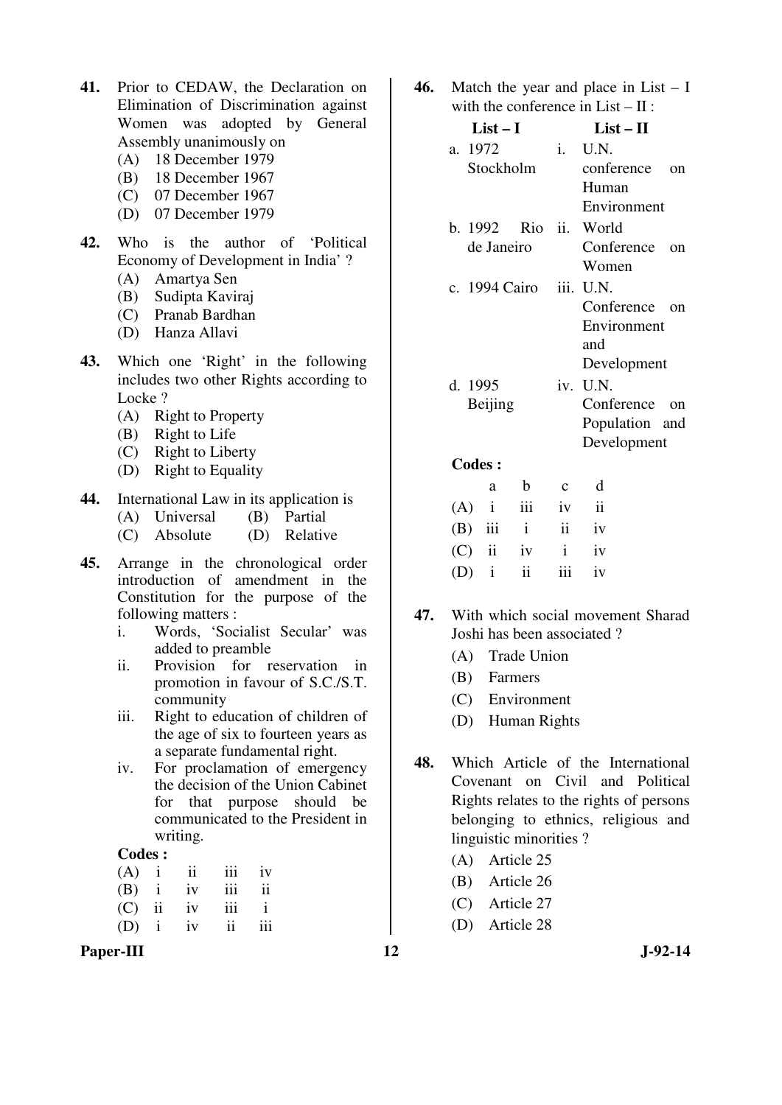- **41.** Prior to CEDAW, the Declaration on Elimination of Discrimination against Women was adopted by General Assembly unanimously on
	- (A) 18 December 1979
	- (B) 18 December 1967
	- (C) 07 December 1967
	- (D) 07 December 1979
- **42.** Who is the author of 'Political Economy of Development in India' ?
	- (A) Amartya Sen
	- (B) Sudipta Kaviraj
	- (C) Pranab Bardhan
	- (D) Hanza Allavi
- **43.** Which one 'Right' in the following includes two other Rights according to Locke?
	- (A) Right to Property
	- (B) Right to Life
	- (C) Right to Liberty
	- (D) Right to Equality
- **44.** International Law in its application is<br>(A) Universal (B) Partial
	- $(A)$  Universal
	- (C) Absolute (D) Relative
- **45.** Arrange in the chronological order introduction of amendment in the Constitution for the purpose of the following matters :
	- i. Words, 'Socialist Secular' was added to preamble
	- ii. Provision for reservation in promotion in favour of S.C./S.T. community
	- iii. Right to education of children of the age of six to fourteen years as a separate fundamental right.
	- iv. For proclamation of emergency the decision of the Union Cabinet for that purpose should be communicated to the President in writing.

#### **Codes :**

|             |        | $(A)$ i ii | iii                     | iv            |
|-------------|--------|------------|-------------------------|---------------|
|             |        | $(B)$ i iv | iii                     | $\mathbf{ii}$ |
| $(C)$ ii iv |        |            | iii                     | $\mathbf{i}$  |
| (D)         | $i$ iv |            | $\overline{\mathbf{u}}$ | iii           |

Paper-III **12** J-92-14

**46.** Match the year and place in List – I with the conference in  $List - II$ :

| $List-I$                | $List - II$              |
|-------------------------|--------------------------|
| a. 1972                 | i. U.N.                  |
| Stockholm               | conference<br>$\alpha$ n |
|                         | Human                    |
|                         | Environment              |
| b. 1992 Rio ii. World   |                          |
| de Janeiro              | Conference<br>$\alpha$   |
|                         | Women                    |
| c. 1994 Cairo iii. U.N. |                          |
|                         | Conference<br>$\alpha$   |
|                         | Environment              |
|                         | and                      |
|                         | Development              |
| d. 1995                 | iv. U.N.                 |
| Beijing                 | Conference on            |
|                         | Population and           |
|                         | Development              |

**Codes :** 

| a | b                 | $c \, d$ |  |
|---|-------------------|----------|--|
|   | $(A)$ i iii iv ii |          |  |
|   | $(B)$ iii i ii iv |          |  |
|   | $(C)$ ii iv i iv  |          |  |
|   | $(D)$ i ii iii iv |          |  |

- **47.** With which social movement Sharad Joshi has been associated ?
	- (A) Trade Union
	- (B) Farmers
	- (C) Environment
	- (D) Human Rights
- **48.** Which Article of the International Covenant on Civil and Political Rights relates to the rights of persons belonging to ethnics, religious and linguistic minorities ?
	- (A) Article 25
	- (B) Article 26
	- (C) Article 27
	- (D) Article 28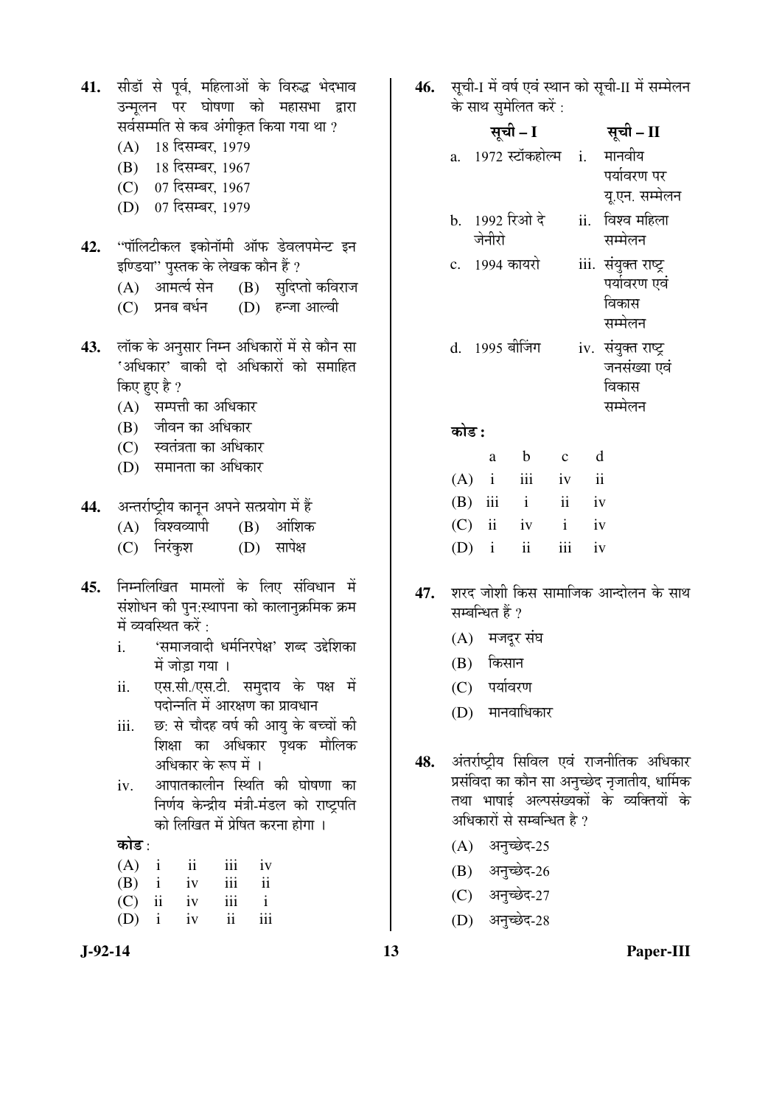| 41. |  |                      | सीडॉ से पूर्व, महिलाओं के विरुद्ध भेदभाव |  |
|-----|--|----------------------|------------------------------------------|--|
|     |  |                      | उन्मूलन पर घोषणा को महासभा द्वारा        |  |
|     |  |                      | सर्वसम्मति से कब अंगीकृत किया गया था ?   |  |
|     |  | (A) 18 दिसम्बर, 1979 |                                          |  |
|     |  | (B) 18 दिसम्बर, 1967 |                                          |  |

- (C) 07 दिसम्बर, 1967
- (D) 07 दिसम्बर, 1979
- 42. "पॉलिटीकल इकोनॉमी ऑफ डेवलपमेन्ट इन इण्डिया'' पुस्तक के लेखक कौन हैं ?<br>(A) आमर्त्य सेन (B) सदिप
	- $(B)$  सुदिप्तो कविराज
	- (C) प्रनब बर्धन (D) हन्जा आल्वी
- 43. लॉक के अनुसार निम्न अधिकारों में से कौन सा 'अधिकार' बाकी दो अधिकारों को समाहित किए हुए है ?
	- (A) सम्पत्ती का अधिकार
	- (B) जीवन का अधिकार
	- (C) स्वतंत्रता का अधिकार
	- (D) समानता का अधिकार
- 44. अन्तर्राष्ट्रीय कानून अपने सत्प्रयोग में हैं
	- $(A)$  विश्वव्यापी  $(B)$  आंशिक
	- (C) निरंकश (D) सापेक्ष
- 45. निम्नलिखित मामलों के लिए संविधान में संशोधन की पुन:स्थापना को कालानुक्रमिक क्रम में व्यवस्थित करें $\cdot$ 
	- i. 'ÃÖ´ÖÖ•Ö¾ÖÖ¤üß ¬Ö´ÖÔ×®Ö¸ü¯ÖêõÖ' ¿Ö²¤ü ˆ§êü׿ÖÛúÖ  $\vec{H}$  जोडा गया ।
	- ii. एस.सी./एस.टी. समदाय के पक्ष में पदोन्नति में आरक्षण का प्रावधान
	- iii. छ: से चौदह वर्ष की आय के बच्चों की शिक्षा का अधिकार पृथक मौलिक अधिकार के रूप में ।
	- iv. आपातकालीन स्थिति की घोषणा का निर्णय केन्द्रीय मंत्री-मंडल को राष्ट्रपति को लिखित में प्रेषित करना होगा ।

#### कोड $\cdot$

|             | $(A)$ i ii | iii | iv            |
|-------------|------------|-----|---------------|
| $(B)$ i iv  |            | iii | $\mathbf{ii}$ |
| $(C)$ ii iv |            | iii | $\mathbf{i}$  |
|             | $(D)$ i iv | ii  | iii           |

46. सची-I में वर्ष एवं स्थान को सची-II में सम्मेलन के साथ समेलित करें :

|              | सूची – I        |                | सूची – II            |
|--------------|-----------------|----------------|----------------------|
| a.           | 1972 स्टॉकहोल्म | $\mathbf{i}$ . | मानवीय               |
|              |                 |                | पर्यावरण पर          |
|              |                 |                | यू.एन. सम्मेलन       |
|              | b. 1992 रिओ दे  | ii.            | विश्व महिला          |
|              | जेनीरो          |                | सम्मेलन              |
| $\mathbf{c}$ | 1994 कायरो      |                | iii. संयुक्त राष्ट्र |
|              |                 |                | पर्यावरण एवं         |
|              |                 |                | विकास                |
|              |                 |                | सम्मेलन              |
|              | d. 1995 बीजिंग  |                | iv. संयुक्त राष्ट्र  |
|              |                 |                | जनसंख्या एवं         |
|              |                 |                | विकास                |
|              |                 |                |                      |
|              |                 |                |                      |
|              |                 |                | सम्मेलन              |

- a b c d (A) i iii iv ii (B) iii i ii iv (C) ii iv i iv  $(D)$  i ii iii iv
- **47.** शरद जोशी किस सामाजिक आन्दोलन के साथ सम्बन्धित हैं ?
	- $(A)$  मजदूर संघ
	- (B) किसान
	- $(C)$  पर्यावरण
	- (D) मानवाधिकार
- 48. अंतर्राष्ट्रीय सिविल एवं राजनीतिक अधिकार प्रसंविदा का कौन सा अनुच्छेद नृजातीय, धार्मिक तथा भाषाई अल्पसंख्यकों के व्यक्तियों के अधिकारों से सम्बन्धित है ?
	- $(A)$  अनुच्छेद-25
	- (B) अनुच्छेद-26
	- (C) अनुच्छेद-27
	- (D) अनुच्छेद-28

**J-92-14 13 Paper-III**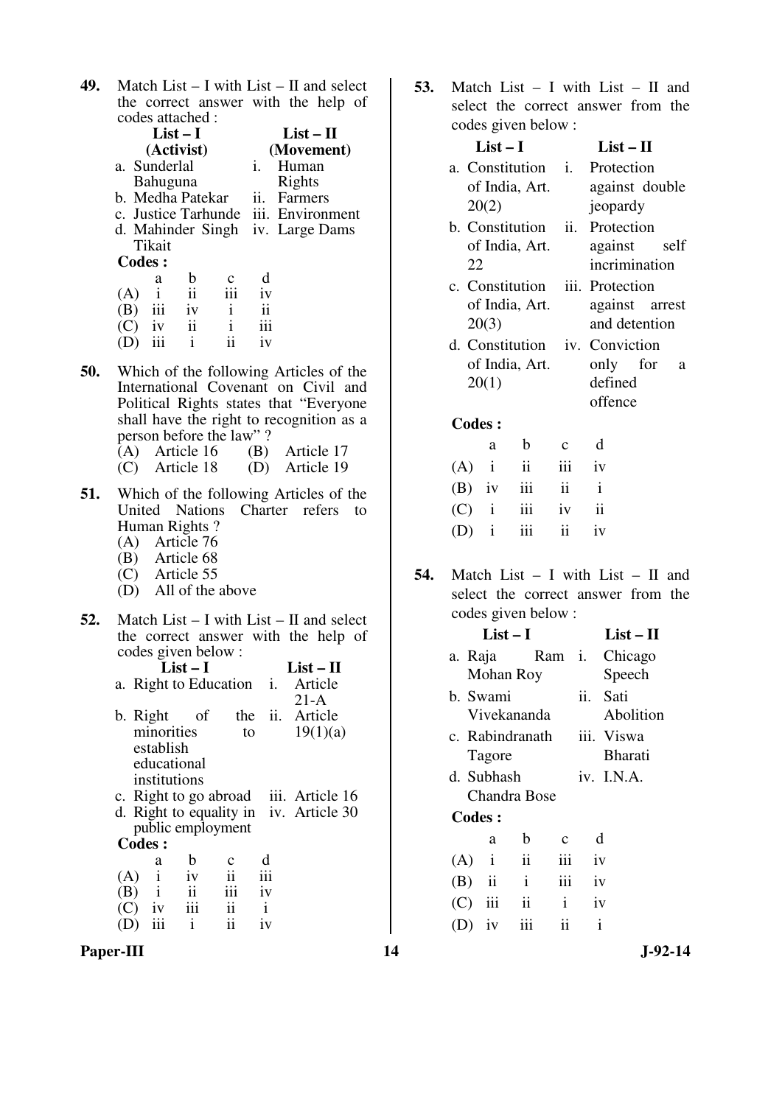**49.** Match List – I with List – II and select the correct answer with the help of codes attached :

|               | List – I                         |                  |             |     | $List - II$                          |
|---------------|----------------------------------|------------------|-------------|-----|--------------------------------------|
|               |                                  | (Activist)       | (Movement)  |     |                                      |
|               | a. Sunderlal                     |                  |             |     | Human                                |
|               | Bahuguna                         |                  |             |     | Rights                               |
|               |                                  | b. Medha Patekar |             | ii. | Farmers                              |
|               |                                  |                  |             |     | c. Justice Tarhunde iii. Environment |
|               | d. Mahinder Singh iv. Large Dams |                  |             |     |                                      |
|               | Tikait                           |                  |             |     |                                      |
| <b>Codes:</b> |                                  |                  |             |     |                                      |
|               | a                                | b                | $\mathbf c$ |     |                                      |
| (A)           |                                  | $\mathbf{ii}$    | iii         | iv  |                                      |
|               | iii                              | iv               |             |     |                                      |
|               | $- - -$                          |                  |             |     |                                      |

| $(C)$ iv  | 11 |    | $\cdots$<br>111 |
|-----------|----|----|-----------------|
| $(D)$ iii |    | 11 | 1V              |

- **50.** Which of the following Articles of the International Covenant on Civil and Political Rights states that "Everyone shall have the right to recognition as a person before the law" ?
	- (A) Article 16 (B) Article 17<br>(C) Article 18 (D) Article 19 (C) Article 18 (D) Article 19
- **51.** Which of the following Articles of the United Nations Charter refers to Human Rights ?
	- (A) Article 76
	- (B) Article 68 (C) Article 55
	- (D) All of the above
- **52.** Match List I with List II and select the correct answer with the help of codes given below :

|               |              | $List-I$                |                         |              | $List - II$                             |
|---------------|--------------|-------------------------|-------------------------|--------------|-----------------------------------------|
|               |              |                         |                         |              | a. Right to Education <i>i.</i> Article |
|               |              |                         |                         |              | $21-A$                                  |
|               | b. Right     | - of                    |                         |              | the ii. Article                         |
|               | minorities   |                         | to                      |              | 19(1)(a)                                |
|               | establish    |                         |                         |              |                                         |
|               | educational  |                         |                         |              |                                         |
|               | institutions |                         |                         |              |                                         |
|               |              |                         |                         |              | c. Right to go abroad iii. Article 16   |
|               |              |                         |                         |              | d. Right to equality in iv. Article 30  |
|               |              |                         | public employment       |              |                                         |
| <b>Codes:</b> |              |                         |                         |              |                                         |
|               | a            | b                       | $\mathbf c$             | d            |                                         |
| (A)           | $\mathbf{i}$ | iv                      | $\ddot{\mathbf{i}}$     | iii          |                                         |
| $(B)$ i       |              | $\overline{\mathbf{u}}$ | iii                     | iv           |                                         |
| (C) =         | iv           | $\ddot{\mathbf{m}}$     | $\overline{\mathbf{u}}$ | $\mathbf{i}$ |                                         |
| (D)           | iii          | $\mathbf{i}$            | $\ddot{\textbf{i}}$     | iv           |                                         |

Paper-III **14** J-92-14

**53.** Match List – I with List – II and select the correct answer from the codes given below :

| List $-1$                            | $List - II$    |
|--------------------------------------|----------------|
| a. Constitution <i>i.</i> Protection |                |
| of India, Art.                       | against double |
| 20(2)                                | jeopardy       |
| b. Constitution ii. Protection       |                |
| of India, Art.                       | against self   |
| 22                                   | incrimination  |
| c. Constitution iii. Protection      |                |
| of India, Art.                       | against arrest |
| 20(3)                                | and detention  |
| d. Constitution iv. Conviction       |                |
| of India, Art.                       | only for a     |
| 20(1)                                | defined        |
|                                      | offence        |
| <b>Codes:</b>                        |                |

 a b c d  $(A)$  i ii iii iv  $(B)$  iv iii ii i (C) i iii iv ii (D) i iii ii iv

**54.** Match List – I with List – II and select the correct answer from the codes given below :

|               |                               | $List-II$                                                 |                                                |                                           |
|---------------|-------------------------------|-----------------------------------------------------------|------------------------------------------------|-------------------------------------------|
|               |                               |                                                           |                                                |                                           |
|               |                               |                                                           |                                                | Speech                                    |
|               |                               |                                                           |                                                | Sati                                      |
|               |                               |                                                           |                                                | Abolition                                 |
|               |                               |                                                           |                                                | iii. Viswa                                |
|               |                               |                                                           |                                                | <b>Bharati</b>                            |
|               |                               |                                                           |                                                | iv. I.N.A.                                |
|               |                               |                                                           |                                                |                                           |
|               |                               |                                                           |                                                |                                           |
| a             | b                             | C                                                         |                                                | d                                         |
|               | ii                            | iii                                                       |                                                |                                           |
| $\mathbf{ii}$ | $\mathbf{i}$                  | 111                                                       |                                                |                                           |
|               | <b>Codes:</b><br>$\mathbf{i}$ | $List-I$<br>Mohan Roy<br>b. Swami<br>Tagore<br>d. Subhash | Vivekananda<br>c. Rabindranath<br>Chandra Bose | a. Raja Ram i. Chicago<br>ii.<br>iv<br>iv |

 (C) iii ii i iv (D) iv iii ii i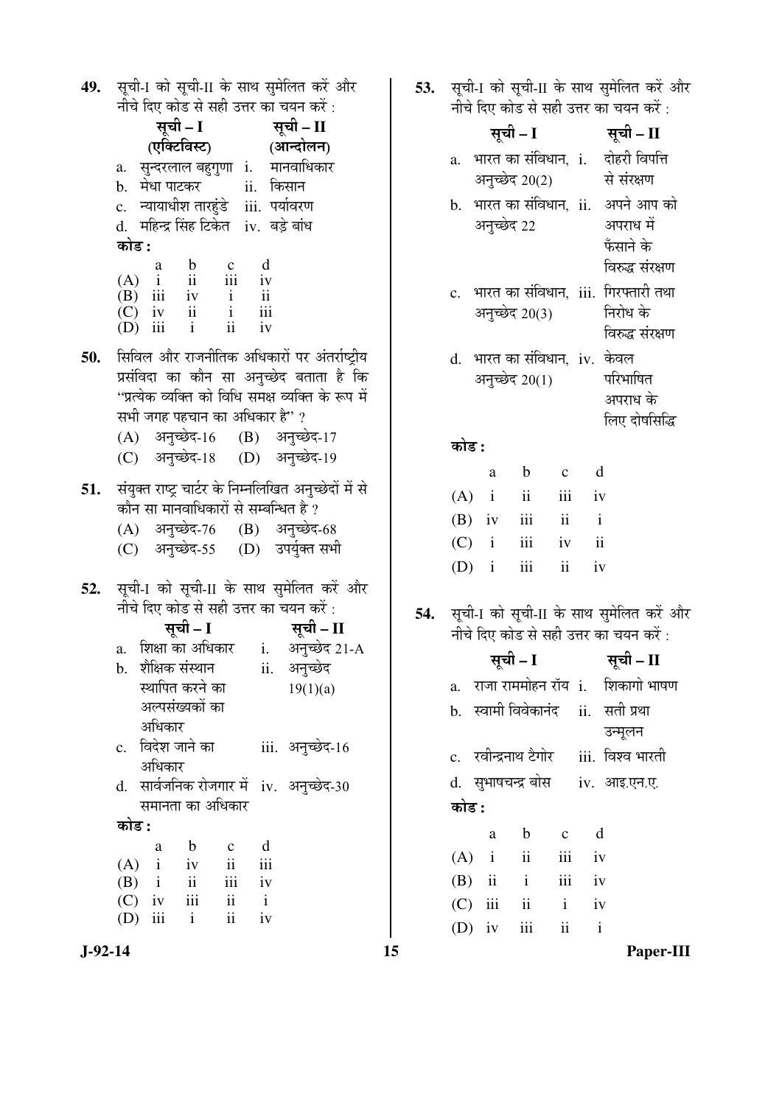**49.** सूची-I को सूची-II के साथ सुमेलित करें और नीचे दिए कोड से सही उत्तर का चयन करें :

|     |          |                                                                                                                                                                      |                                |              | $119.195$ and a step out an aar ave.                       |  |
|-----|----------|----------------------------------------------------------------------------------------------------------------------------------------------------------------------|--------------------------------|--------------|------------------------------------------------------------|--|
|     |          |                                                                                                                                                                      |                                |              |                                                            |  |
|     |          | सूची – I सूची – II<br>(एक्टिविस्ट) (आन्दोलन)                                                                                                                         |                                |              |                                                            |  |
|     |          |                                                                                                                                                                      |                                |              | a. सुन्दरलाल बहुगुणा i. मानवाधिकार                         |  |
|     |          |                                                                                                                                                                      |                                |              |                                                            |  |
|     |          | b. मेधा पाटकर        ii.  किसान<br>c.   न्यायाधीश तारहुंडे    iii.  पर्यावरण                                                                                         |                                |              |                                                            |  |
|     |          | d.  महिन्द्र सिंह टिकेत  iv.  बड़े बांध                                                                                                                              |                                |              |                                                            |  |
|     | कोड :    |                                                                                                                                                                      |                                |              |                                                            |  |
|     |          |                                                                                                                                                                      |                                |              |                                                            |  |
|     |          | $\begin{array}{ccccccccc} & & a & b & c & d \\ (A) & i & ii & iii & iv \\ (B) & iii & iv & i & ii \\ (C) & iv & ii & i & iii \\ (D) & iii & i & ii & iv \end{array}$ |                                |              |                                                            |  |
|     |          |                                                                                                                                                                      |                                |              |                                                            |  |
|     |          |                                                                                                                                                                      |                                |              |                                                            |  |
|     |          |                                                                                                                                                                      |                                |              |                                                            |  |
| 50. |          |                                                                                                                                                                      |                                |              | सिविल और राजनीतिक अधिकारों पर अंतर्राष्ट्रीय               |  |
|     |          |                                                                                                                                                                      |                                |              | प्रसंविदा का कौन सा अनुच्छेद बताता है कि                   |  |
|     |          |                                                                                                                                                                      |                                |              | ''प्रत्येक व्यक्ति को विधि समक्ष व्यक्ति के रूप में        |  |
|     |          | सभी जगह पहचान का अधिकार है"?                                                                                                                                         |                                |              |                                                            |  |
|     |          |                                                                                                                                                                      |                                |              |                                                            |  |
|     |          |                                                                                                                                                                      |                                |              | (A) अनुच्छेद-16 (B) अनुच्छेद-17                            |  |
|     |          |                                                                                                                                                                      |                                |              | (C) अनुच्छेद-18 (D) अनुच्छेद-19                            |  |
|     |          |                                                                                                                                                                      |                                |              | 51. संयुक्त राष्ट्र चार्टर के निम्नलिखित अनुच्छेदों में से |  |
|     |          | कौन सा मानवाधिकारों से सम्बन्धित है ?                                                                                                                                |                                |              |                                                            |  |
|     |          |                                                                                                                                                                      |                                |              | (A) अनुच्छेद-76 (B) अनुच्छेद-68                            |  |
|     |          |                                                                                                                                                                      |                                |              |                                                            |  |
|     |          |                                                                                                                                                                      |                                |              | (C) अनुच्छेद-55 (D) उपर्युक्त सभी                          |  |
|     |          |                                                                                                                                                                      |                                |              |                                                            |  |
| 52. |          |                                                                                                                                                                      |                                |              | सूची-I को सूची-II के साथ सुमेलित करें और                   |  |
|     |          |                                                                                                                                                                      |                                |              | नीचे दिए कोड से सही उत्तर का चयन करें :                    |  |
|     |          | सूची – I                                                                                                                                                             |                                |              | सूची – II                                                  |  |
|     |          |                                                                                                                                                                      |                                |              | a.   शिक्षा का अधिकार      i.     अनुच्छेद 21-A            |  |
|     |          | b.   शैक्षिक संस्थान                                                                                                                                                 |                                |              | ii. अनुच्छेद                                               |  |
|     |          | स्थापित करने का                                                                                                                                                      |                                |              | 19(1)(a)                                                   |  |
|     |          | अल्पसंख्यकों का                                                                                                                                                      |                                |              |                                                            |  |
|     |          | अधिकार                                                                                                                                                               |                                |              |                                                            |  |
|     |          | c.   विदेश जाने का                                                                                                                                                   |                                |              | iii. अनुच्छेद-16                                           |  |
|     |          | अधिकार                                                                                                                                                               |                                |              |                                                            |  |
|     | d.       |                                                                                                                                                                      |                                |              | सार्वजनिक रोजगार में iv. अनुच्छेद-30                       |  |
|     |          | समानता का अधिकार                                                                                                                                                     |                                |              |                                                            |  |
|     | कोड :    |                                                                                                                                                                      |                                |              |                                                            |  |
|     |          | $\mathbf b$                                                                                                                                                          |                                | d            |                                                            |  |
|     | $(A)$ i  | a<br>iv                                                                                                                                                              | $\mathbf c$<br>$\ddot{\rm ii}$ | iii          |                                                            |  |
|     | $(B)$ i  | $\ddot{\mathbf{i}}$                                                                                                                                                  | iii                            | iv           |                                                            |  |
|     | $(C)$ iv | iii                                                                                                                                                                  | $\mathbf{ii}$                  | $\mathbf{i}$ |                                                            |  |
|     | (D) iii  | $\mathbf{i}$                                                                                                                                                         | ii                             | iv           |                                                            |  |
|     |          |                                                                                                                                                                      |                                |              |                                                            |  |

**53.** सूची-I को सूची-II के साथ सुमेलित करें और नीचे दिए कोड से सही उत्तर का चयन करें :

|           | नाच दिए कांड से सहा उत्तर का चयन कर :                                                                  |     | नाच दिए कांड से सहा उत्तर का चयन कर :                                           |
|-----------|--------------------------------------------------------------------------------------------------------|-----|---------------------------------------------------------------------------------|
|           | सूची – I सूची – II                                                                                     |     | सूची – II<br>सूची – I                                                           |
|           | (एक्टिविस्ट) (आन्दोलन)<br>a. सुन्दरलाल बहुगुणा i. मानवाधिकार                                           |     | a. भारत का संविधान, i. दोहरी विपत्ति                                            |
|           | b.   मेधा पाटकर<br>ii. किसान                                                                           |     | अनुच्छेद 20(2)<br>से संरक्षण                                                    |
|           | c. न्यायाधीश तारहुंडे iii. पर्यावरण                                                                    |     | b. भारत का संविधान, ii. अपने आप को                                              |
|           | d. महिन्द्र सिंह टिकेत iv. बड़े बांध                                                                   |     | अनुच्छेद 22<br>अपराध में                                                        |
|           | कोड :                                                                                                  |     | फँसाने के                                                                       |
|           | $\frac{b}{11}$<br>$\begin{matrix} c & d \\ ii & iv \end{matrix}$<br>a<br>$\mathbf{i}$<br>(A)           |     | विरुद्ध संरक्षण                                                                 |
|           | $iv$ $i$ $ii$<br>$(B)$ iii                                                                             |     | c. भारत का संविधान, iii. गिरफ्तारी तथा                                          |
|           | iii<br>$\overline{\mathbf{ii}}$<br>$\mathbf{i}$<br>(C)<br>iv<br>ii<br>iii<br>$\mathbf{i}$<br>iv<br>(D) |     | अनुच्छेद 20(3)<br>निरोध के                                                      |
|           |                                                                                                        |     | विरुद्ध संरक्षण                                                                 |
| 50.       | सिविल और राजनीतिक अधिकारों पर अंतर्राष्ट्रीय                                                           |     | d. भारत का संविधान, iv. केवल                                                    |
|           | प्रसंविदा का कौन सा अनुच्छेद बताता है कि<br>''प्रत्येक व्यक्ति को विधि समक्ष व्यक्ति के रूप में        |     | अनुच्छेद 20(1)<br>परिभाषित                                                      |
|           | सभी जगह पहचान का अधिकार है" ?                                                                          |     | अपराध के<br>लिए दोषसिद्धि                                                       |
|           | (A) अनुच्छेद-16 (B) अनुच्छेद-17                                                                        |     |                                                                                 |
|           | (C) अनुच्छेद-18 (D) अनुच्छेद-19                                                                        |     | कोड :                                                                           |
| 51.       | संयुक्त राष्ट्र चार्टर के निम्नलिखित अनुच्छेदों में से                                                 |     | d<br>$\mathbf b$<br>$\mathbf{C}$<br>a                                           |
|           | कौन सा मानवाधिकारों से सम्बन्धित है ?                                                                  |     | ii<br>iii<br>$(A)$ i<br>iv                                                      |
|           | (A) अनुच्छेद-76 (B) अनुच्छेद-68                                                                        |     | iii<br>$\overline{\mathbf{u}}$<br>$\mathbf{i}$<br>$(B)$ iv                      |
|           | (C) अनुच्छेद-55 (D) उपर्युक्त सभी                                                                      |     | iii<br>$\overline{\mathbf{ii}}$<br>$(C)$ i<br>iv                                |
|           |                                                                                                        |     | ii<br>$(D)$ i<br>iii<br>iv                                                      |
| 52.       | सूची-I को सूची-II के साथ सुमेलित करें और                                                               |     |                                                                                 |
|           | नीचे दिए कोड से सही उत्तर का चयन करें :<br>सूची – I सूची – II                                          | 54. | सूची-I को सूची-II के साथ सुमेलित करें और                                        |
|           | a. शिक्षा का अधिकार i. अनुच्छेद 21-A                                                                   |     | नीचे दिए कोड से सही उत्तर का चयन करें :                                         |
|           | शैक्षिक संस्थान<br>अनुच्छेद<br>ii.<br>b.                                                               |     | सूची – I सूची – II                                                              |
|           | स्थापित करने का<br>19(1)(a)                                                                            |     | a. राजा राममोहन रॉय i. शिकागो भाषण                                              |
|           | अल्पसंख्यकों का<br>अधिकार                                                                              |     | b. स्वामी विवेकानंद<br>ii.   सती प्रथा                                          |
|           | c.   विदेश जाने का<br>iii. अनुच्छेद-16                                                                 |     | उन्मूलन                                                                         |
|           | अधिकार                                                                                                 |     | c. रवीन्द्रनाथ टैगोर iii. विश्व भारती                                           |
|           | d. सार्वजनिक रोजगार में iv. अनुच्छेद-30                                                                |     | d. सुभाषचन्द्र बोस iv. आइ.एन.ए.                                                 |
|           | समानता का अधिकार                                                                                       |     | कोड :                                                                           |
|           | कोड :                                                                                                  |     | d<br>$\mathbf b$<br>a<br>$\mathbf{C}$                                           |
|           | d<br>b<br>a<br>$\mathbf{C}$<br>$\mathbf{i}$<br>ii<br>(A)<br>iii<br>iv                                  |     | ii<br>$(A)$ i<br>iii<br>iv                                                      |
|           | $\overline{\mathbf{u}}$<br>iii<br>(B)<br>$\mathbf{i}$<br>iv                                            |     | iii<br>$(B)$ ii<br>$\mathbf{i}$<br>iv                                           |
|           | $ii$ $i$<br>iii<br>(C)<br>iv                                                                           |     | $\overrightarrow{\mathbf{i}}$ $\overrightarrow{\mathbf{i}}$<br>iii<br>(C)<br>iv |
|           | ii<br>iii<br>$\mathbf{i}$<br>iv<br>(D)                                                                 |     | iii<br>ii<br>$(D)$ iv<br>$\mathbf{i}$                                           |
| $J-92-14$ |                                                                                                        | 15  | Paper-III                                                                       |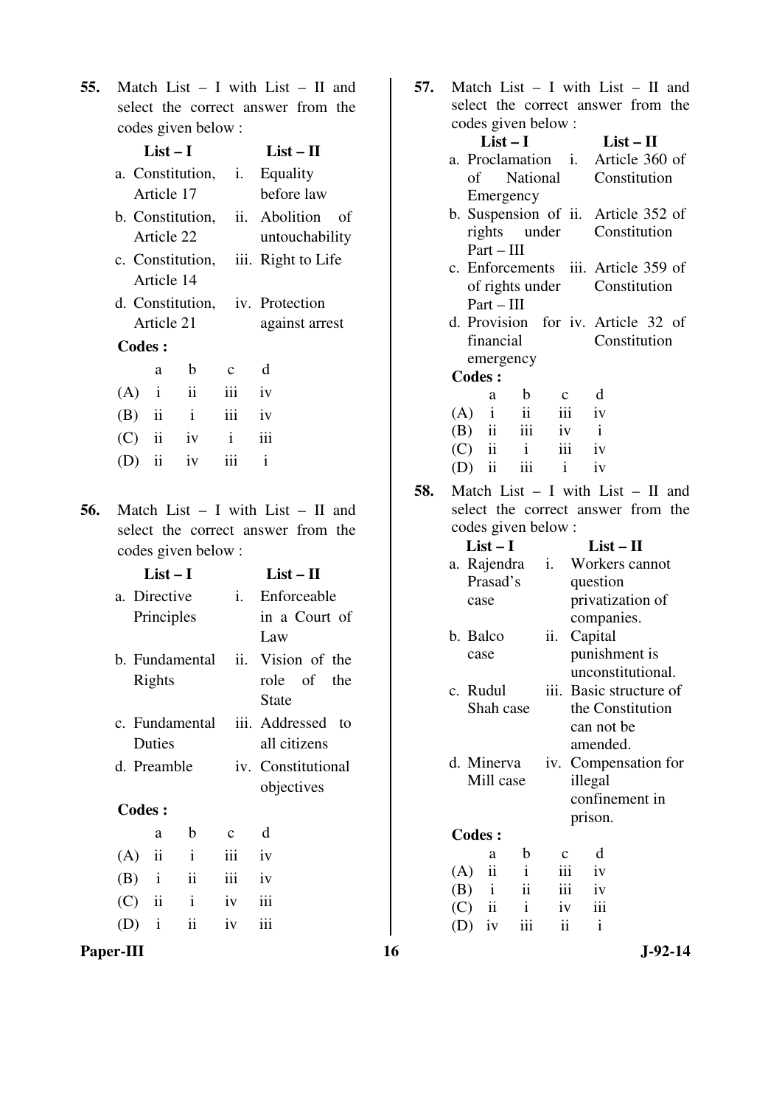**55.** Match List – I with List – II and select the correct answer from the codes given below :

|                                 | List – I       |                  |                | $List-II$           |
|---------------------------------|----------------|------------------|----------------|---------------------|
|                                 |                | a. Constitution, | $\mathbf{i}$ . | Equality            |
|                                 | Article 17     |                  |                | before law          |
|                                 |                | b. Constitution, |                | ii. Abolition<br>οf |
|                                 | Article 22     |                  |                | untouchability      |
|                                 |                | c. Constitution, |                | iii. Right to Life  |
|                                 | Article 14     |                  |                |                     |
| d. Constitution, iv. Protection |                |                  |                |                     |
|                                 | Article 21     |                  |                | against arrest      |
| Codes:                          |                |                  |                |                     |
|                                 | a              | b                | $\mathbf c$    | d                   |
| $(A)$ i                         |                | ii               | iii            | iv                  |
| $(B)$ ii                        |                | $\mathbf{i}$     | iii            | iv                  |
| $(C)$ ii                        |                | iv               | $\mathbf{i}$   | iii                 |
|                                 | $\ddot{\rm n}$ | iv               | iii            | i                   |
|                                 |                |                  |                |                     |

of

**56.** Match List – I with List – II and select the correct answer from the codes given below :

| List $-1$      |              | $List - II$        |
|----------------|--------------|--------------------|
| a. Directive   | $\mathbf{i}$ | Enforceable        |
| Principles     |              | in a Court of      |
|                |              | Law                |
| h Fundamental  |              | ii. Vision of the  |
| Rights         |              | role of the        |
|                |              | State              |
| c. Fundamental |              | iii. Addressed to  |
| Duties         |              | all citizens       |
| d. Preamble    |              | iv. Constitutional |
|                |              | objectives         |
| Codes :        |              |                    |

| a a | b                  | $c \t d$ |  |
|-----|--------------------|----------|--|
|     | $(A)$ ii ii iii iv |          |  |
|     | $(B)$ i ii iii iv  |          |  |
|     | $(C)$ ii i iv iii  |          |  |
|     | $(D)$ i ii iv iii  |          |  |

- **57.** Match List I with List II and select the correct answer from the codes given below : **List – I List – II**  a. Proclamation of National Emergency Article 360 of Constitution b. Suspension of ii. Article 352 of rights under Part – III Constitution c. Enforcements iii. Article 359 of of rights under Part – III Constitution d. Provision for iv. Article 32 of financial emergency **Constitution Codes :**  a b c d  $(A)$  i ii iii iv (B) ii iii iv i
- **58.** Match List I with List II and select the correct answer from the codes given below :

 (C) ii i iii iv (D) ii iii i iv

| $List-I$                   |                     |     | $List - II$             |  |
|----------------------------|---------------------|-----|-------------------------|--|
| a. Rajendra                |                     | i.  | Workers cannot          |  |
| Prasad's                   |                     |     | question                |  |
| case                       |                     |     | privatization of        |  |
|                            |                     |     | companies.              |  |
| b. Balco                   |                     | ii. | Capital                 |  |
| case                       |                     |     | punishment is           |  |
|                            |                     |     | unconstitutional.       |  |
| c. Rudul                   |                     |     | iii. Basic structure of |  |
|                            | Shah case           |     | the Constitution        |  |
|                            |                     |     | can not be              |  |
|                            |                     |     | amended.                |  |
| d. Minerva                 |                     |     | iv. Compensation for    |  |
|                            | Mill case           |     | illegal                 |  |
|                            |                     |     | confinement in          |  |
|                            |                     |     | prison.                 |  |
| <b>Codes:</b>              |                     |     |                         |  |
| a                          | b                   |     | d                       |  |
| $\ddot{\mathbf{i}}$<br>(A) | $\mathbf{i}$        | iii | iv                      |  |
| $(B)$ i                    | $\ddot{\mathbf{i}}$ |     | iii<br>iv               |  |
| $(C)$ ii                   | $\mathbf{i}$        | iv  | iii                     |  |
| $(D)$ iv                   | iii                 | ii  | $\mathbf{i}$            |  |

Paper-III 16 J-92-14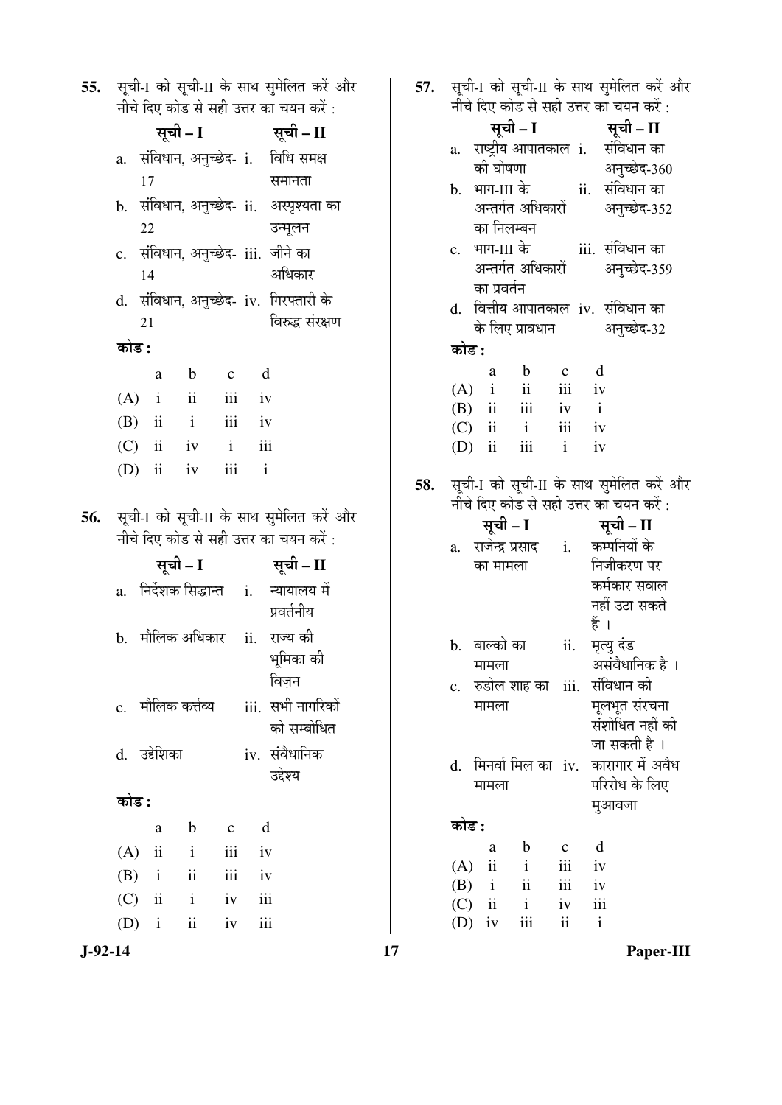| 55. |       |    |              |                                |                          |             | सूची-I को सूची-II के साथ सुमेलित करें और<br>नीचे दिए कोड से सही उत्तर का चयन करें : |
|-----|-------|----|--------------|--------------------------------|--------------------------|-------------|-------------------------------------------------------------------------------------|
|     |       |    | सूची – I     |                                |                          |             | सूची – II                                                                           |
|     |       |    |              |                                |                          |             | a. संविधान, अनुच्छेद- i. विधि समक्ष                                                 |
|     |       | 17 |              |                                |                          |             | समानता                                                                              |
|     |       |    |              |                                |                          |             | b. संविधान, अनुच्छेद- ii.  अस्पृश्यता का                                            |
|     |       | 22 |              |                                |                          |             | उन्मूलन                                                                             |
|     |       |    |              |                                |                          |             | c. संविधान, अनुच्छेद- iii. जीने का                                                  |
|     |       | 14 |              |                                |                          |             | अधिकार                                                                              |
|     |       |    |              |                                |                          |             | d. संविधान, अनुच्छेद- iv. गिरफ्तारी के                                              |
|     |       | 21 |              |                                |                          |             | विरुद्ध संरक्षण                                                                     |
|     | कोड : |    |              |                                |                          |             |                                                                                     |
|     |       |    | a            | b c                            |                          | $\mathbf d$ |                                                                                     |
|     |       |    |              | $(A)$ i ii iii iv              |                          |             |                                                                                     |
|     |       |    |              | $(B)$ ii ii ii iv              |                          |             |                                                                                     |
|     |       |    |              | $(C)$ ii iv i                  |                          | iii         |                                                                                     |
|     |       |    | $(D)$ ii iv  |                                | $\overrightarrow{iii}$ i |             |                                                                                     |
|     |       |    |              |                                |                          |             |                                                                                     |
| 56. |       |    |              |                                |                          |             |                                                                                     |
|     |       |    |              |                                |                          |             | सूची-I को सूची-II के साथ सुमेलित करें और                                            |
|     |       |    |              |                                |                          |             | नीचे दिए कोड से सही उत्तर का चयन करें :                                             |
|     |       |    | सूची – I     |                                |                          |             | सूची – II                                                                           |
|     |       |    |              |                                |                          |             | a. निर्देशक सिद्धान्त <i>i. न्यायालय</i> में                                        |
|     |       |    |              |                                |                          |             | प्रवर्तनीय                                                                          |
|     |       |    |              |                                |                          |             | b.   मौलिक अधिकार     ii.   राज्य की                                                |
|     |       |    |              |                                |                          |             | भूमिका की                                                                           |
|     |       |    |              |                                |                          |             | विजन                                                                                |
|     |       |    |              | c.   मौलिक कर्त्तव्य           |                          |             | iii. सभी नागरिकों                                                                   |
|     |       |    |              |                                |                          |             | को सम्बोधित                                                                         |
|     |       |    | d. उद्देशिका |                                |                          |             | iv. संवैधानिक                                                                       |
|     |       |    |              |                                |                          |             | उद्देश्य                                                                            |
|     | कोड : |    |              |                                |                          |             |                                                                                     |
|     |       |    | a            | b c                            |                          | d           |                                                                                     |
|     | (A)   |    | $\rm ii$     | $\mathbf{i}$                   | iii                      | iv          |                                                                                     |
|     |       |    |              | $(B)$ i ii                     | iii                      | iv          |                                                                                     |
|     |       |    | $(D)$ i      | $(C)$ ii i iv<br>$\mathbf{ii}$ | iv                       | iii<br>iii  |                                                                                     |

**57.** सूची-I को सूची-II के साथ सुमेलित करें और

|     |                |                     |                     |             |              | नीचे दिए कोड से सही उत्तर का चयन करें :                                                                               |
|-----|----------------|---------------------|---------------------|-------------|--------------|-----------------------------------------------------------------------------------------------------------------------|
|     |                |                     | सूची – I            |             |              | सूची – II                                                                                                             |
|     |                |                     |                     |             |              | a. राष्ट्रीय आपातकाल i.  संविधान का                                                                                   |
|     |                |                     |                     |             |              | अनुच्छेद-360<br>को घोषणा                              अनुच्छेद-36<br>b.   भाग-III के                 ii.   संविधान का |
|     |                |                     |                     |             |              |                                                                                                                       |
|     |                |                     |                     |             |              | अन्तर्गत अधिकारों अनुच्छेद-352                                                                                        |
|     |                | का निलम्बन          |                     |             |              |                                                                                                                       |
|     |                |                     |                     |             |              |                                                                                                                       |
|     |                |                     | अन्तर्गत अधिकारों   |             |              | अनुच्छेद-359                                                                                                          |
|     |                | का प्रवर्तन         |                     |             |              |                                                                                                                       |
|     |                |                     |                     |             |              | d. वित्तीय आपातकाल iv. संविधान का                                                                                     |
|     |                |                     |                     |             |              | के लिए प्रावधान अनुच्छेद-32                                                                                           |
|     | कोड :          |                     |                     |             |              |                                                                                                                       |
|     |                | a                   | $\mathbf b$         |             | $c \, d$     |                                                                                                                       |
|     |                |                     | $(A)$ i ii iii iv   |             |              |                                                                                                                       |
|     |                |                     | $(B)$ ii iii iv i   |             |              |                                                                                                                       |
|     |                |                     | $(C)$ ii i          | iii iv      |              |                                                                                                                       |
|     |                |                     | (D) ii iii i iv     |             |              |                                                                                                                       |
| 58. |                |                     |                     |             |              | सूची-1 को सूची-II के साथ सुमेलित करें और                                                                              |
|     |                |                     |                     |             |              | नीचे दिए कोड से सही उत्तर का चयन करें:                                                                                |
|     |                | सूची – I            |                     |             |              | सूची – II                                                                                                             |
|     |                |                     |                     |             |              | a. राजेन्द्र प्रसाद    i.    कम्पनियों के                                                                             |
|     |                | का मामला            |                     |             |              | निजीकरण पर                                                                                                            |
|     |                |                     |                     |             |              | कर्मकार सवाल                                                                                                          |
|     |                |                     |                     |             |              | नहीं उठा सकते                                                                                                         |
|     |                |                     |                     |             | हैं ।        |                                                                                                                       |
|     |                |                     |                     |             |              | b. बाल्को का       ii.   मृत्यु दंड                                                                                   |
|     |                | मामला               |                     |             |              | असंवैधानिक है ।                                                                                                       |
|     | $\mathbf{c}$ . |                     |                     |             |              | रुडोल शाह का   iii.   संविधान की                                                                                      |
|     |                | मामला               |                     |             |              | मूलभूत संरचना                                                                                                         |
|     |                |                     |                     |             |              | संशोधित नहीं की                                                                                                       |
|     |                |                     |                     |             |              | जा सकती है ।                                                                                                          |
|     | d.             |                     | मिनर्वा मिल का  iv. |             |              | कारागार में अवैध                                                                                                      |
|     |                | मामला               |                     |             |              | परिरोध के लिए                                                                                                         |
|     |                |                     |                     |             |              | मुआवजा                                                                                                                |
|     | कोड :          |                     |                     |             |              |                                                                                                                       |
|     |                | а                   | b                   | $\mathbf c$ | d            |                                                                                                                       |
|     | (A)            | $\ddot{\mathbf{i}}$ | $\mathbf{i}$        | iii         | iv           |                                                                                                                       |
|     | (B)            | $\mathbf{i}$        | $\mathbf{ii}$       | iii         | iv           |                                                                                                                       |
|     | $(C)$ ii       |                     | $\mathbf{i}$        | iv          | iii          |                                                                                                                       |
|     | $(D)$ iv       |                     | iii                 | ii          | $\mathbf{i}$ |                                                                                                                       |

**J-92-14 17 Paper-III**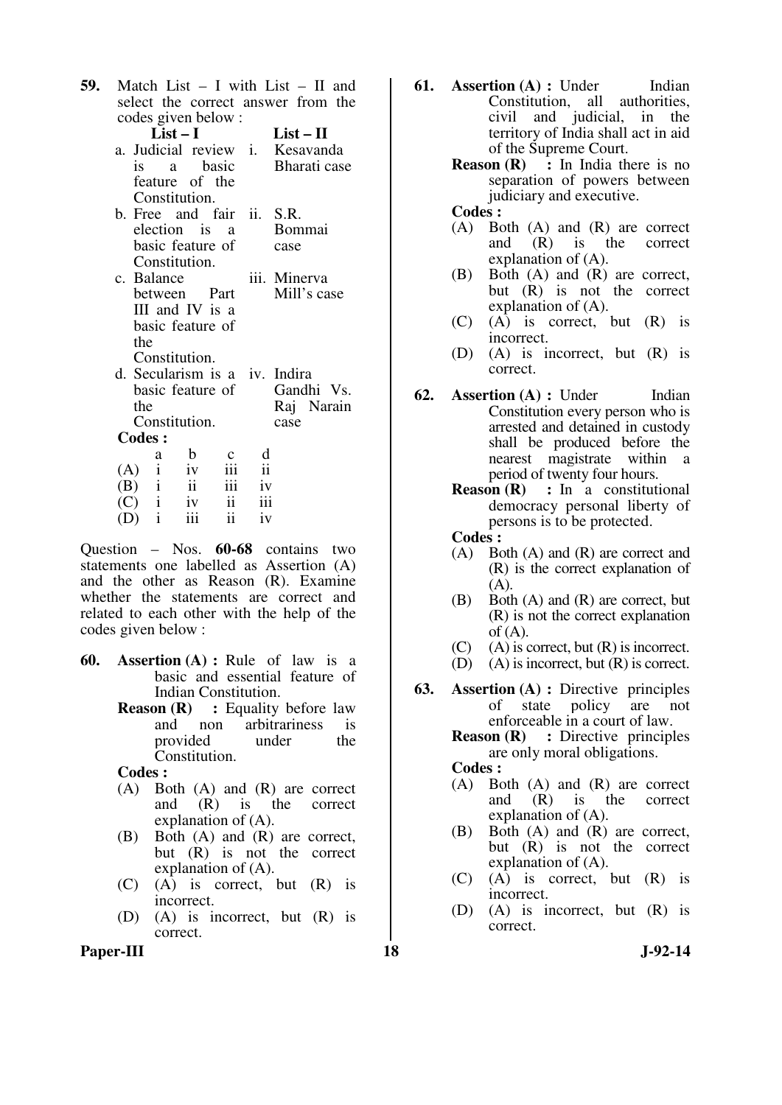| 59. |               |     |                          |              |                                       |                         |      | Match List $- I$ with List $- II$ and |  |
|-----|---------------|-----|--------------------------|--------------|---------------------------------------|-------------------------|------|---------------------------------------|--|
|     |               |     |                          |              |                                       |                         |      | select the correct answer from the    |  |
|     |               |     |                          |              | codes given below:                    |                         |      |                                       |  |
|     |               |     | $List-I$                 |              |                                       |                         |      | $List-II$                             |  |
|     |               |     |                          |              |                                       |                         |      | a. Judicial review i. Kesavanda       |  |
|     |               |     |                          |              | is a basic                            |                         |      | Bharati case                          |  |
|     |               |     |                          |              | feature of the                        |                         |      |                                       |  |
|     |               |     | Constitution.            |              |                                       |                         |      |                                       |  |
|     |               |     |                          |              | b. Free and fair ii. S.R.             |                         |      |                                       |  |
|     |               |     |                          |              | election is a                         |                         |      | <b>Bommai</b>                         |  |
|     |               |     |                          |              | basic feature of                      |                         | case |                                       |  |
|     |               |     | Constitution.            |              |                                       |                         |      |                                       |  |
|     |               |     | c. Balance               |              |                                       |                         |      | iii. Minerva                          |  |
|     |               |     |                          |              | between Part                          |                         |      | Mill's case                           |  |
|     |               |     |                          |              | III and IV is a                       |                         |      |                                       |  |
|     |               |     |                          |              | basic feature of                      |                         |      |                                       |  |
|     |               | the |                          |              |                                       |                         |      |                                       |  |
|     |               |     | Constitution.            |              |                                       |                         |      |                                       |  |
|     |               |     |                          |              | d. Secularism is a <i>iv</i> . Indira |                         |      |                                       |  |
|     |               |     |                          |              | basic feature of                      |                         |      | Gandhi Vs.                            |  |
|     |               | the |                          |              |                                       |                         |      | Raj Narain                            |  |
|     |               |     | Constitution.            |              |                                       |                         | case |                                       |  |
|     | <b>Codes:</b> |     |                          |              |                                       |                         |      |                                       |  |
|     |               |     | a                        | $\mathbf{b}$ |                                       | d                       |      |                                       |  |
|     |               |     | (A) $i$ iv<br>(B) $i$ ii |              | iii                                   | $\overline{\mathbf{u}}$ |      |                                       |  |
|     |               |     |                          |              | iii                                   | iv                      |      |                                       |  |
|     |               |     | $\tilde{C}$ i iv         |              | ii                                    |                         | iii  |                                       |  |

Question – Nos. **60-68** contains two statements one labelled as Assertion (A) and the other as Reason (R). Examine whether the statements are correct and related to each other with the help of the codes given below :

 $(D)$  i iii ii iv

- **60. Assertion (A) :** Rule of law is a basic and essential feature of Indian Constitution.
	- **Reason (R)** : Equality before law and non arbitrariness is<br>provided under the provided Constitution.

 **Codes :**

- (A) Both (A) and (R) are correct<br>and  $(R)$  is the correct and  $(R)$  is the explanation of (A).
- (B) Both (A) and (R) are correct, but (R) is not the correct explanation of (A).
- (C) (A) is correct, but (R) is incorrect.
- (D) (A) is incorrect, but (R) is correct.
- **61. Assertion (A) : Under** Indian Constitution, all authorities, civil and judicial, in the territory of India shall act in aid of the Supreme Court.
	- **Reason (R)** : In India there is no separation of powers between judiciary and executive.

 **Codes :**

- (A) Both (A) and (R) are correct<br>and  $(R)$  is the correct  $(R)$  is the correct explanation of (A).
- (B) Both (A) and (R) are correct, but (R) is not the correct explanation of (A).
- (C) (A) is correct, but (R) is incorrect.
- (D) (A) is incorrect, but (R) is correct.
- **62. Assertion (A) : Under** Indian Constitution every person who is arrested and detained in custody shall be produced before the nearest magistrate within a period of twenty four hours.
	- **Reason (R) :** In a constitutional democracy personal liberty of persons is to be protected.
	- **Codes :**<br>(A) Bo Both  $(A)$  and  $(R)$  are correct and
	- (R) is the correct explanation of (A).
	- (B) Both (A) and (R) are correct, but (R) is not the correct explanation of  $(A)$ .
	- $(C)$  (A) is correct, but  $(R)$  is incorrect.
	- (D) (A) is incorrect, but (R) is correct.
- **63. Assertion (A) :** Directive principles of state policy are not enforceable in a court of law.

**Reason (R)** : Directive principles are only moral obligations.  **Codes :**

- (A) Both (A) and (R) are correct and (R) is the correct explanation of (A).
- (B) Both (A) and (R) are correct, but (R) is not the correct explanation of (A).
- (C) (A) is correct, but (R) is incorrect.
- (D) (A) is incorrect, but (R) is correct.

Paper-III **18** J-92-14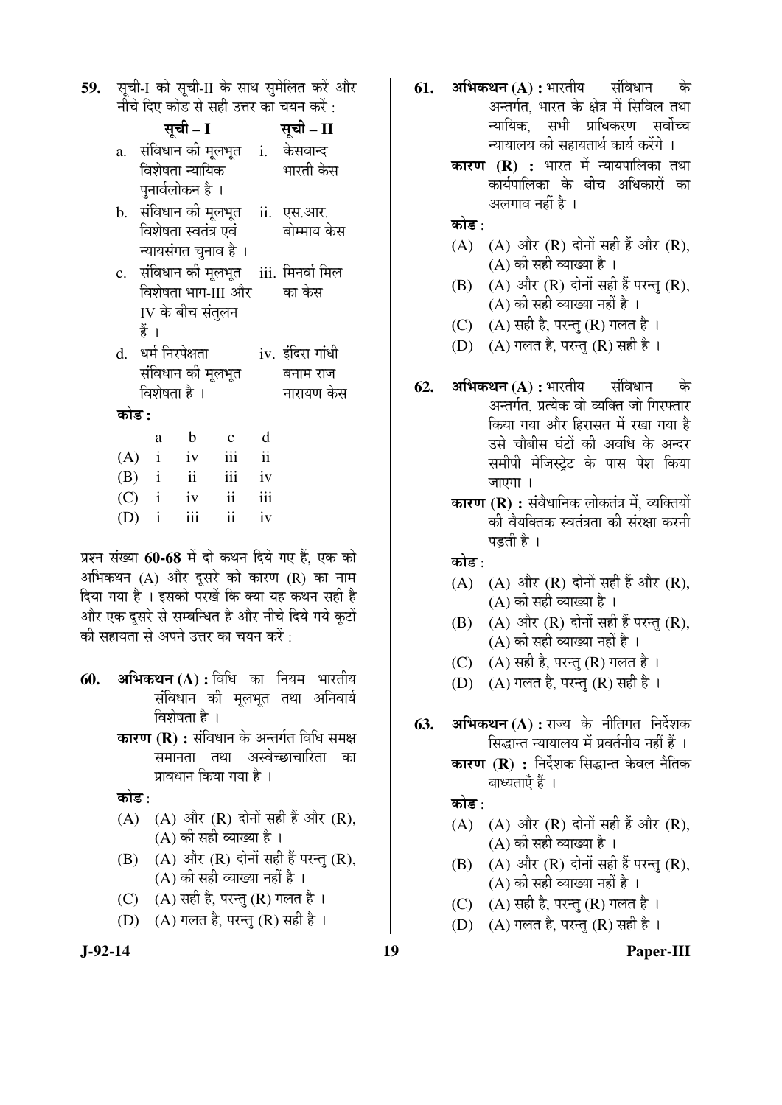| 59. सूची-1 को सूची-II के साथ सुमेलित करें और |
|----------------------------------------------|
| नीचे दिए कोड से सही उत्तर का चयन करें :      |

|       |                    | सूची – I    |                          |                         | सूची – II                                   |
|-------|--------------------|-------------|--------------------------|-------------------------|---------------------------------------------|
|       |                    |             |                          |                         | a.  संविधान की मूलभूत   i.   केसवान्द       |
|       | विशेषता न्यायिक    |             |                          |                         | भारती केस                                   |
|       | पुनार्वलोकन है ।   |             |                          |                         |                                             |
|       |                    |             |                          |                         | b.   संविधान की मूलभूत     ii.   एस.आर.     |
|       |                    |             |                          |                         | विशेषता स्वतंत्र एवं         बोम्माय केस    |
|       |                    |             | न्यायसंगत चुनाव है ।     |                         |                                             |
|       |                    |             |                          |                         | c.   संविधान की मूलभूत    iii.  मिनर्वा मिल |
|       |                    |             |                          |                         | विशेषता भाग-III और का केस                   |
|       | IV के बीच संतुलन   |             |                          |                         |                                             |
|       | हैं ।              |             |                          |                         |                                             |
|       | d. धर्म निरपेक्षता |             |                          |                         | iv. इंदिरा गांधी                            |
|       | संविधान की मूलभूत  |             |                          |                         | बनाम राज                                    |
|       | विशेषता है ।       |             |                          |                         | नारायण केस                                  |
| कोड : |                    |             |                          |                         |                                             |
|       | a                  | $\mathbf b$ | $\mathbf{c}$             | d                       |                                             |
|       | $(A)$ i iv         |             | iii                      | $\overline{\mathbf{u}}$ |                                             |
|       | $(B)$ i ii         |             | iii iv                   |                         |                                             |
|       | $(C)$ i iv         |             | $\overline{\mathbf{ii}}$ | iii                     |                                             |

 $(D)$  i iii ii iv

प्रश्न संख्या 60-68 में दो कथन दिये गए हैं. एक को अभिकथन  $(A)$  और दुसरे को कारण  $(R)$  का नाम दिया गया है । इसको परखें कि क्या यह कथन सही है ओर एक दसरे से सम्बन्धित है और नीचे दिये गये कटों की सहायता से अपने उत्तर का चयन करें $\cdot$ 

- **60. अभिकथन (A) :** विधि का नियम भारतीय संविधान की मुलभुत तथा अनिवार्य विशेषता है।
	- **कारण (R) :** संविधान के अन्तर्गत विधि समक्ष समानता तथा अस्वेच्छाचारिता का प्रावधान किया गया है ।

कोड $\cdot$ 

- $(A)$   $(A)$  और  $(R)$  दोनों सही हैं और  $(R)$ ,  $(A)$  की सही व्याख्या है ।
- $(B)$   $(A)$  और  $(R)$  दोनों सही हैं परन्तु  $(R)$ ,  $(A)$  की सही व्याख्या नहीं है ।
- (C)  $(A)$  सही है, परन्तु (R) गलत है।
- (D)  $(A)$  गलत है, परन्तु (R) सही है ।
- - **62. अभिकथन (A) :** भारतीय संविधान के अन्तर्गत. प्रत्येक वो व्यक्ति जो गिरफ्तार किया गया और हिरासत में रखा गया है उसे चौबीस घंटों की अवधि के अन्दर समीपी मेजिस्टेट के पास पेश किया जाएगा ।

**61. अभिकथन (A) :** भारतीय संविधान के

अलगाव नहीं है ।

 $(A)$   $(A)$  और  $(R)$  दोनों सही हैं और  $(R)$ ,

 $(B)$   $(A)$  और  $(R)$  दोनों सही हैं परन्त  $(R)$ .  $(A)$  की सही व्याख्या नहीं है । (C)  $(A)$  सही है, परन्तु (R) गलत है। (D)  $(A)$  गलत है, परन्तु (R) सही है ।

 $(A)$  की सही व्याख्या है ।

अन्तर्गत, भारत के क्षेत्र में सिविल तथा <u>न्यायिक सभी प्राधिकरण सर्वोच्च</u> च्यायालय की सहायतार्थ कार्य करेंगे । **कारण (R) :** भारत में न्यायपालिका तथा कार्यपालिका के बीच अधिकारों का

**कारण (R) :** संवैधानिक लोकतंत्र में, व्यक्तियों की वैयक्तिक स्वतंत्रता की संरक्षा करनी पडती है ।

कोड :

कोड $\cdot$ 

- $(A)$   $(A)$  और  $(R)$  दोनों सही हैं और  $(R)$ ,  $(A)$  की सही व्याख्या है ।
- $(B)$   $(A)$  और  $(R)$  दोनों सही हैं परन्तु  $(R)$ ,  $(A)$  की सही व्याख्या नहीं है ।
- (C)  $(A)$  सही है, परन्तु (R) गलत है।
- (D) (A) गलत है, परन्तु (R) सही है ।
- 63. अभिकथन (A) : राज्य के नीतिगत निर्देशक सिद्धान्त न्यायालय में प्रवर्तनीय नहीं हैं । **कारण (R) :** निर्देशक सिद्धान्त केवल नैतिक

बाध्यताएँ हैं ।

कोड़ $\cdot$ 

- (A)  $(A)$  और  $(R)$  दोनों सही हैं और  $(R)$ ,  $(A)$  की सही व्याख्या है ।
- $(B)$   $(A)$  और  $(R)$  दोनों सही हैं परन्तु  $(R)$ ,  $(A)$  की सही व्याख्या नहीं है ।
- (C)  $(A)$  सही है, परन्तु (R) गलत है।
- (D)  $(A)$  गलत है, परन्तु (R) सही है ।

**J-92-14 19 Paper-III**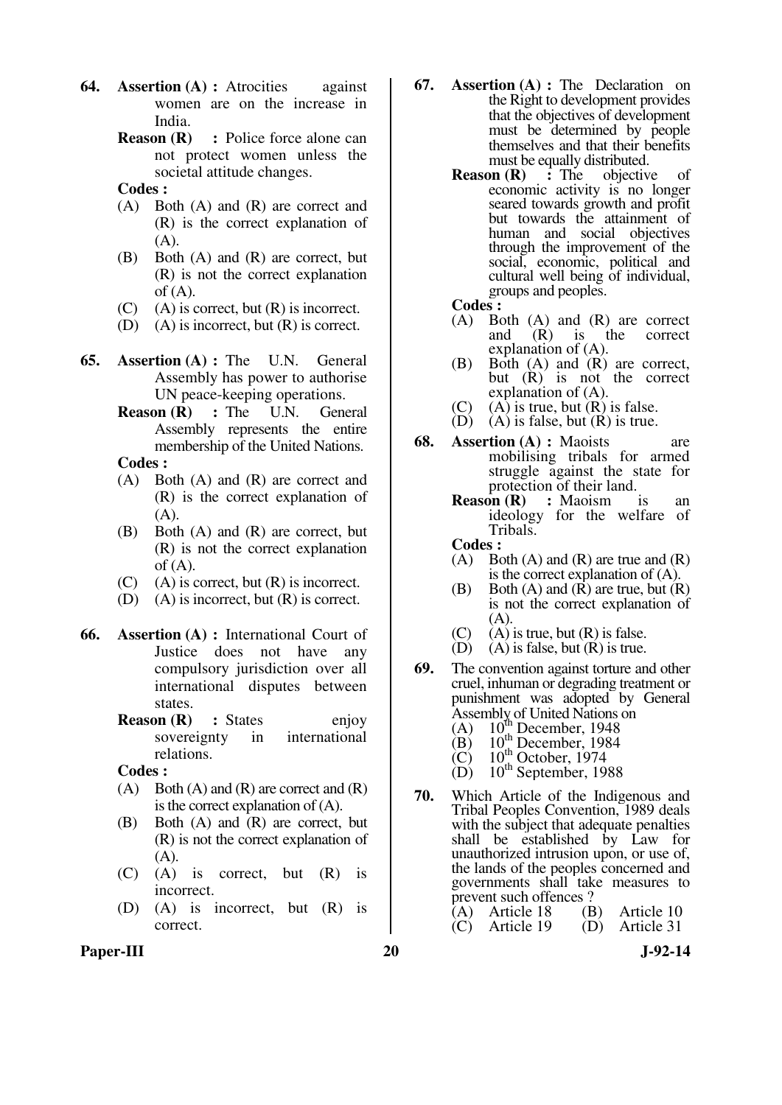- **64. Assertion (A) :** Atrocities against women are on the increase in India.
	- **Reason (R) : Police force alone can** not protect women unless the societal attitude changes.
	- **Codes :**
	- (A) Both (A) and (R) are correct and (R) is the correct explanation of (A).
	- (B) Both (A) and (R) are correct, but (R) is not the correct explanation of  $(A)$ .
	- $(C)$  (A) is correct, but  $(R)$  is incorrect.
	- (D) (A) is incorrect, but (R) is correct.
- **65. Assertion (A) :** The U.N. General Assembly has power to authorise UN peace-keeping operations.
	- **Reason (R)** : The U.N. General Assembly represents the entire membership of the United Nations.
	- **Codes :**
	- (A) Both (A) and (R) are correct and (R) is the correct explanation of  $(A)$ .
	- (B) Both (A) and (R) are correct, but (R) is not the correct explanation  $of (A).$
	- $(C)$  (A) is correct, but  $(R)$  is incorrect.
	- (D) (A) is incorrect, but (R) is correct.
- **66. Assertion (A) :** International Court of Justice does not have any compulsory jurisdiction over all international disputes between states.
	- **Reason (R)** : States enjoy sovereignty in international relations.

 **Codes :**

- $(A)$  Both  $(A)$  and  $(R)$  are correct and  $(R)$ is the correct explanation of (A).
- (B) Both (A) and (R) are correct, but (R) is not the correct explanation of  $(A)$ .
- (C) (A) is correct, but (R) is incorrect.
- (D) (A) is incorrect, but (R) is correct.
- **67. Assertion (A) :** The Declaration on the Right to development provides that the objectives of development must be determined by people themselves and that their benefits must be equally distributed.<br> **on**  $(\mathbf{R})$  : The objective
	- **Reason (R)** : The objective of economic activity is no longer seared towards growth and profit but towards the attainment of human and social objectives through the improvement of the social, economic, political and cultural well being of individual, groups and peoples.
		-
	- **Codes :**<br>(A) Bo Both  $(A)$  and  $(R)$  are correct<br>and  $(R)$  is the correct  $(R)$  is the explanation of (A).
	- (B) Both (A) and (R) are correct, but (R) is not the correct explanation of (A).
	- (C) (A) is true, but  $(R)$  is false.<br>(D) (A) is false, but  $(R)$  is true.
	- $(A)$  is false, but  $(R)$  is true.
- **68. Assertion (A) :** Maoists are mobilising tribals for armed struggle against the state for protection of their land.<br> **on** (**R**) : Maoism is
	- **Reason (R)** : Maoism is an ideology for the welfare of Tribals.
	- **Codes :**
	- $(A)$  Both  $(A)$  and  $(R)$  are true and  $(R)$ is the correct explanation of (A).
	- (B) Both  $(A)$  and  $(R)$  are true, but  $(R)$ is not the correct explanation of (A).
	- (C) (A) is true, but (R) is false.<br>(D) (A) is false, but (R) is true.
	- $(A)$  is false, but  $(R)$  is true.
- **69.** The convention against torture and other cruel, inhuman or degrading treatment or punishment was adopted by General Assembly of United Nations on
	- (A)  $10^{th}$  December, 1948
	- (B)  $10^{th}$  December, 1984<br>(C)  $10^{th}$  December, 1974
	- $\begin{array}{ll} (C) & 10^{\text{th}} \text{ October}, 1974 \\ (D) & 10^{\text{th}} \text{ September}, 193 \end{array}$  $10<sup>th</sup>$  September, 1988
	-
- **70.** Which Article of the Indigenous and Tribal Peoples Convention, 1989 deals with the subject that adequate penalties shall be established by Law for unauthorized intrusion upon, or use of, the lands of the peoples concerned and governments shall take measures to prevent such offences ?<br>(A) Article 18 (B)
	- (A) Article 18 (B) Article 10 (C) Article 19 (D) Article 31
- Paper-III 20 J-92-14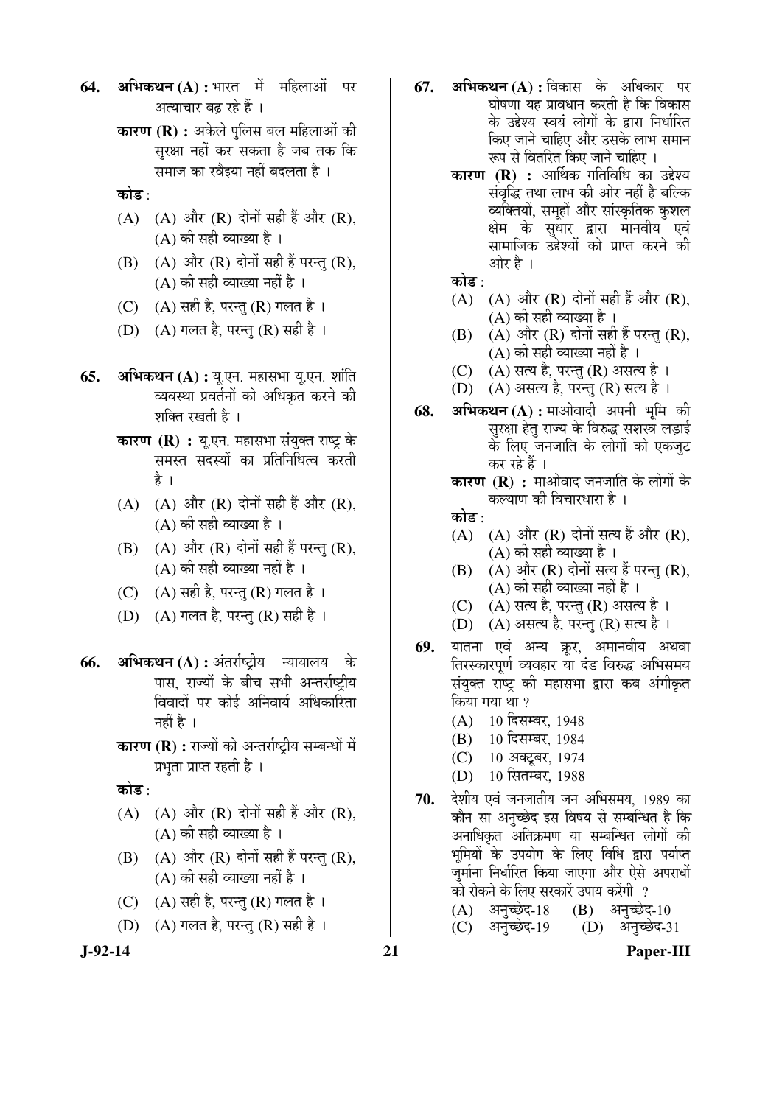64. **अभिकथन (A) :** भारत में महिलाओं पर अत्याचार बढ रहे हैं ।

- **कारण (R) :** अकेले पुलिस बल महिलाओं की सुरक्षा नहीं कर सकता है जब तक कि समाज का रवैइया नहीं बदलता है ।
- कोड $:$
- (A)  $(A)$  और  $(R)$  दोनों सही हैं और  $(R)$ ,  $(A)$  की सही व्याख्या है।
- $(B)$   $(A)$  और  $(R)$  दोनों सही हैं परन्तु  $(R)$ ,  $(A)$  की सही व्याख्या नहीं है ।
- (C)  $(A)$  सही है, परन्तु (R) गलत है ।
- (D)  $(A)$  गलत है, परन्तु (R) सही है ।
- **65. अभिकथन (A) :** यू.एन. महासभा यू.एन. शांति व्यवस्था प्रवर्तनों को अधिकृत करने की शक्ति रखती है ।
	- **कारण (R) :** यू.एन. महासभा संयुक्त राष्ट्र के समस्त सदस्यों का प्रतिनिधित्व करती है ।
	- $(A)$   $(A)$  और  $(R)$  दोनों सही हैं और  $(R)$ , (A) की सही व्याख्या है ।
	- $(B)$   $(A)$  और  $(R)$  दोनों सही हैं परन्तु  $(R)$ ,  $(A)$  की सही व्याख्या नहीं है ।
	- (C)  $(A)$  सही है, परन्तु (R) गलत है ।
	- (D)  $(A)$  गलत है, परन्तु (R) सही है।
- **66. अभिकथन (A) :** अंतर्राष्ट्रीय न्यायालय पास. राज्यों के बीच सभी अन्तर्राष्टीय विवादों पर कोई अनिवार्य अधिकारिता नहीं है ।
	- **कारण (R) :** राज्यों को अन्तर्राष्ट्रीय सम्बन्धों में प्रभुता प्राप्त रहती है ।

कोड $\cdot$ 

- (A)  $(A)$  और  $(R)$  दोनों सही हैं और  $(R)$ ,  $(A)$  की सही व्याख्या है ।
- $(B)$   $(A)$  और  $(R)$  दोनों सही हैं परन्तु (R),  $(A)$  की सही व्याख्या नहीं है)।
- (C)  $(A)$  सही है, परन्तु (R) गलत है।
- (D)  $(A)$  गलत है, परन्तु (R) सही है ।
- 
- **67. अभिकथन (A) :** विकास के अधिकार पर 'घोषणा यह प्रावधान करती है कि विकास के उद्देश्य स्वयं लोगों के द्वारा निर्धारित किए जाने चाहिए और उसके लाभ समान रूप से वितरित किए जाने चाहिए ।
	- **कारण (R) :** आर्थिक गतिविधि का उद्देश्य संवृद्धि तथा लाभ की ओर नहीं है बल्कि व्यक्तियों, समूहों और सांस्कृतिक कुशल क्षेम के सुधार द्वारा मानवीय एवं सामाजिक उद्देश्यों को प्राप्त करने की ओर है ।

कोड $\cdot$ 

- $(A)$   $(A)$  और  $(R)$  दोनों सही हैं और  $(R)$ ,  $(A)$  की सही व्याख्या है ।
- $(B)$   $(A)$  और  $(R)$  दोनों सही हैं परन्तु  $(R)$ ,  $(A)$  की सही व्याख्या नहीं है ।
- $(C)$   $(A)$  सत्य है, परन्तु  $(R)$  असत्य है ।
- $(D)$   $(A)$  असत्य है, परन्तु  $(R)$  सत्य है ।
- 68. **अभिकथन (A) :** माओवादी अपनी भमि की सुरक्षा हेतु राज्य के विरुद्ध सशस्त्र लड़ाई के लिए जनजाति के लोगों को एकजुट कर रहे हैं ।

**कारण (R) :** माओवाद जनजाति के लोगों के कल्याण की विचारधारा है $\perp$ 

- कोड $\cdot$
- $(A)$   $(A)$  और  $(R)$  दोनों सत्य हैं और  $(R)$ , (A) की सही व्याख्या है ।
- $(B)$   $(A)$  और  $(R)$  दोनों सत्य हैं परन्त  $(R)$ , (A) की सही व्याख्या नहीं है ।
- $(C)$   $(A)$  सत्य है, परन्तु  $(R)$  असत्य है।
- $(D)$   $(A)$  असत्य है, परन्तु  $(R)$  सत्य है।
- **69.** यातना एवं अन्य क्रूर, अमानवीय अथवा तिरस्कारपूर्ण व्यवहार या दंड विरुद्ध अभिसमय संयुक्त राष्ट्र की महासभा द्वारा कब अंगीकृत किया गया था ?
	- (A) 10 दिसम्बर, 1948
	- (B) 10 दिसम्बर, 1984
	- (C) 10 अक्टूबर, 1974
	- (D) 10 सितम्बर, 1988
- 70. देशीय एवं जनजातीय जन अभिसमय, 1989 का कौन सा अनुच्छेद इस विषय से सम्बन्धित है कि अनाधिकृत अतिक्रमण या सम्बन्धित लोगों की भुमियों के उपयोग के लिए विधि द्वारा पर्याप्त जुर्माना निर्धारित किया जाएगा और ऐसे अपराधों को रोकने के लिए सरकारें उपाय करेंगी ?

| (A) अनुच्छेद-18 (B) अनुच्छेद-10 |                 |
|---------------------------------|-----------------|
| (C) अनुच्छेद-19                 | (D) अनुच्छेद-31 |

**J-92-14 21 Paper-III**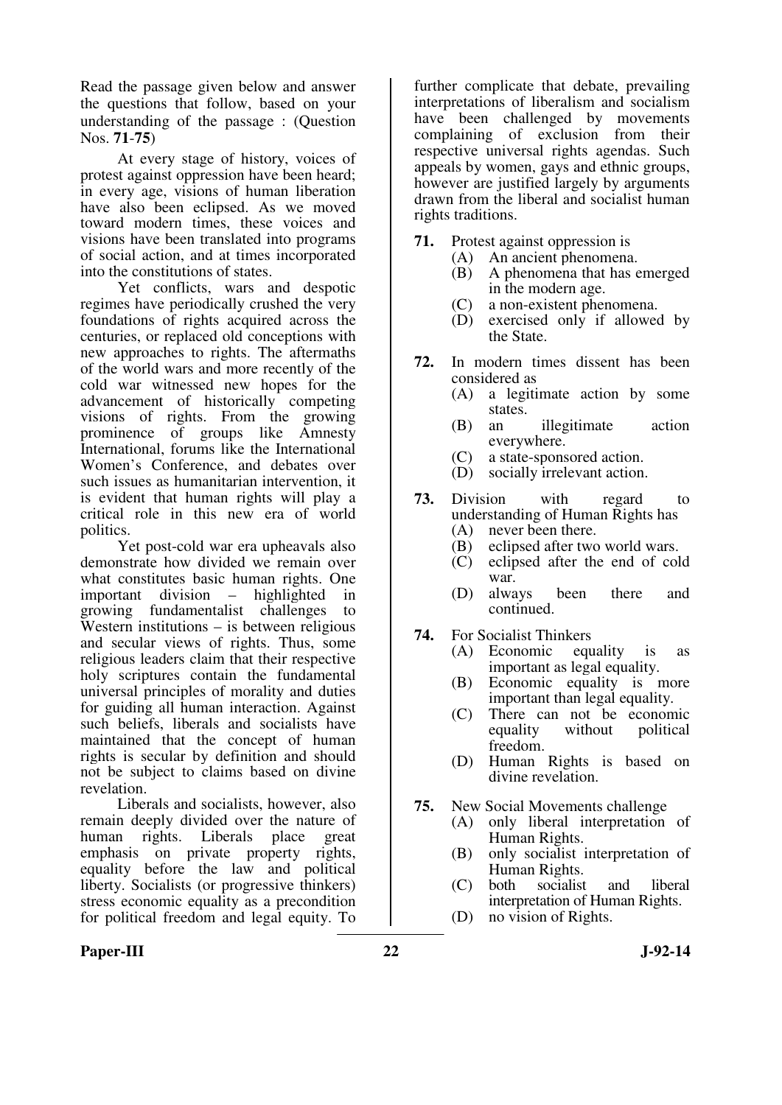Read the passage given below and answer the questions that follow, based on your understanding of the passage : (Question Nos. **71**-**75**)

 At every stage of history, voices of protest against oppression have been heard; in every age, visions of human liberation have also been eclipsed. As we moved toward modern times, these voices and visions have been translated into programs of social action, and at times incorporated into the constitutions of states.

 Yet conflicts, wars and despotic regimes have periodically crushed the very foundations of rights acquired across the centuries, or replaced old conceptions with new approaches to rights. The aftermaths of the world wars and more recently of the cold war witnessed new hopes for the advancement of historically competing visions of rights. From the growing prominence of groups like Amnesty International, forums like the International Women's Conference, and debates over such issues as humanitarian intervention, it is evident that human rights will play a critical role in this new era of world politics.

 Yet post-cold war era upheavals also demonstrate how divided we remain over what constitutes basic human rights. One important division – highlighted in growing fundamentalist challenges to Western institutions – is between religious and secular views of rights. Thus, some religious leaders claim that their respective holy scriptures contain the fundamental universal principles of morality and duties for guiding all human interaction. Against such beliefs, liberals and socialists have maintained that the concept of human rights is secular by definition and should not be subject to claims based on divine revelation.

 Liberals and socialists, however, also remain deeply divided over the nature of human rights. Liberals place great emphasis on private property rights, equality before the law and political liberty. Socialists (or progressive thinkers) stress economic equality as a precondition for political freedom and legal equity. To

further complicate that debate, prevailing interpretations of liberalism and socialism have been challenged by movements complaining of exclusion from their respective universal rights agendas. Such appeals by women, gays and ethnic groups, however are justified largely by arguments drawn from the liberal and socialist human rights traditions.

- **71.** Protest against oppression is
	- (A) An ancient phenomena.
		- (B) A phenomena that has emerged in the modern age.
		- (C) a non-existent phenomena.
		- (D) exercised only if allowed by the State.
- **72.** In modern times dissent has been considered as<br> $(A)$  a legiti
	- a legitimate action by some states.
	- (B) an illegitimate action everywhere.
	- (C) a state-sponsored action.<br>(D) socially irrelevant action
	- socially irrelevant action.
- **73.** Division with regard to understanding of Human Rights has<br>(A) never been there.
	- (A) never been there.<br>(B) eclipsed after two
	- eclipsed after two world wars.
	- (C) eclipsed after the end of cold war.
	- (D) always been there and continued.
- **74.** For Socialist Thinkers
	- (A) Economic equality is as important as legal equality.
	- (B) Economic equality is more important than legal equality.
	- (C) There can not be economic without political freedom.
	- (D) Human Rights is based on divine revelation.
- **75.** New Social Movements challenge
	- (A) only liberal interpretation of Human Rights.
	- (B) only socialist interpretation of Human Rights.
	- (C) both socialist and liberal interpretation of Human Rights.
	- (D) no vision of Rights.

#### Paper-III 3-92-14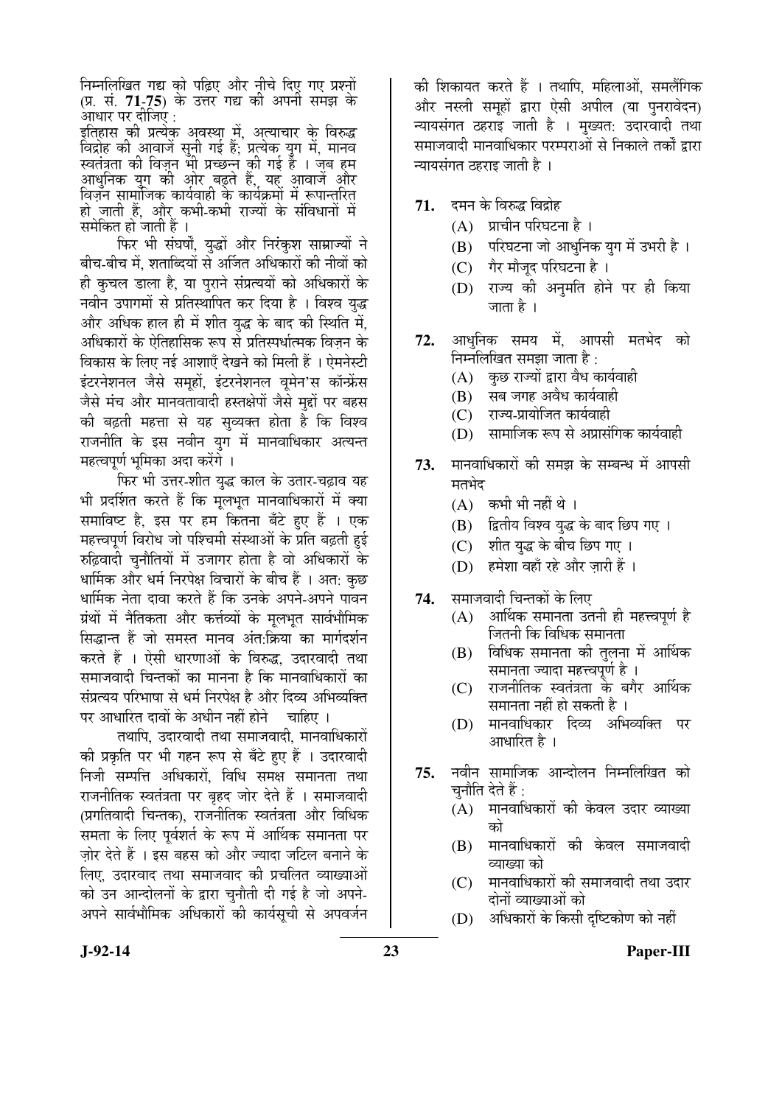निम्नलिखित गद्य को पढ़िए और नीचे दिए गए प्रश्नों (प्र. सं. **71-75**) के उत्तर गद्य की अपनी समझ के आधार पर दीजिए :  $\,$ 

इतिहास की प्रत्येक अवस्था में, अत्याचार के विरुद्ध विद्रोह की आवाजें सुनी गई हैं; प्रत्येक युग में, मानव स्वतंत्रता की विज़न भी प्रच्छन्न की गई हैं । जब हम आधनिक युग की ओर बढ़ते हैं, यह आवाजें और आयुरायर युरा ग्या आठ नुहुल हुँ, स्टेल आयुरा लेखें<br>विजन सामाजिक कार्यवाही के कार्यक्रमों में रूपान्तुरित् हो जाती हैं. और कभी-कभी राज्यों के संविधानों में समेकित हो जाती हैं ।

फिर भी संघर्षों, युद्धों और निरंकुश साम्राज्यों ने बीच-बीच में. शताब्दियों से अर्जित अधिकारों की नीवों को ही कुचल डाला है. या पुराने संप्रत्ययों को अधिकारों के नवीन उपागमों से प्रतिस्थापित कर दिया है । विश्व युद्ध और अधिक हाल ही में शीत युद्ध के बाद की स्थिति में, अधिकारों के ऐतिहासिक रूप से प्रतिस्पर्धात्मक विजन के विकास के लिए नई आशाएँ देखने को मिली हैं । ऐमनेस्टी इंटरनेशनल जैसे समूहों, इंटरनेशनल वृमेन'स कॉन्फ्रेंस जैसे मंच और मानवतावादी हस्तक्षेपों जैसे मुद्दों पर बहस की बढ़ती महत्ता से यह सुव्यक्त होता है कि विश्व राजनीति के इस नवीन युग में मानवाधिकार अत्यन्त `महत्वपूर्ण भूमिका अदा करेंगे ।

फिर भी उत्तर-शीत युद्ध काल के उतार-चढ़ाव यह भी प्रदर्शित करते हैं कि मृलभृत मानवाधिकारों में क्या समाविष्ट है, इस पर हम कितना बँटे हुए हैं । एक महत्त्वपूर्ण विरोध जो पश्चिमी संस्थाओं के प्रति बढ़ती हुई रुढ़िवादी चुनौतियों में उजागर होता है वो अधिकारों के धार्मिक और धर्म निरपेक्ष विचारों के बीच हैं । अत: कुछ धार्मिक नेता दावा करते हैं कि उनके अपने-अपने पावन ग्रंथों में नैतिकता और कर्त्तव्यों के मूलभूत सार्वभौमिक सिद्धान्त हैं जो समस्त मानव अंत:क्रिया का मार्गदर्शन करते हैं । ऐसी धारणाओं के विरुद्ध. उदारवादी तथा समाजवादी चिन्तकों का मानना है कि मानवाधिकारों का संप्रत्यय परिभाषा से धर्म निरपेक्ष है और दिव्य अभिव्यक्ति पर आधारित दावों के अधीन नहीं होने चाहिए ।

तथापि, उदारवादी तथा समाजवादी, मानवाधिकारों की प्रकृति पर भी गहन रूप से बँटे हुए हैं । उदारवादी निजी सम्पत्ति अधिकारों, विधि समक्ष समानता तथा राजनीतिक स्वतंत्रता पर बृहद जोर देते हैं । समाजवादी (प्रगतिवादी चिन्तक), राजनीतिक स्वतंत्रता और विधिक समता के लिए पूर्वशर्त के रूप में आर्थिक समानता पर जोर देते हैं । इस बहस को और ज्यादा जटिल बनाने के लिए, उदारवाद तथा समाजवाद की प्रचलित व्याख्याओं को उन आन्दोलनों के द्वारा चुनौती दी गई है जो अपने-अपने सार्वभौमिक अधिकारों की कार्यसूची से अपवर्जन

की शिकायत करते हैं । तथापि, महिलाओं, समलैंगिक और नस्ली समूहों द्वारा ऐसी अपील (या पुनरावेदन) न्यायसंगत ठहराइ जाती है । मुख्यत: उदारवादी तथा समाजवादी मानवाधिकार परम्पराओं से निकाले तर्कों द्वारा च्यायसंगत ठहराइ जाती है ।

- **71.** दमन के विरुद्ध विद्रोह
	- $(A)$  प्राचीन परिघटना है।
	- (B) परिघटना जो आधुनिक युग में उभरी है।
	- (C) गैर मौजद परिघटना है।
	- (D) राज्य की अनुमति होने पर ही किया जाता है ।
- 72. आधनिक समय में. आपसी मतभेद को निम्नलिखित समझा जाता है:
	- $(A)$  कुछ राज्यों द्वारा वैध कार्यवाही
	- $(B)$  सब जगह अवैध कार्यवाही
	- $(C)$  राज्य-प्रायोजित कार्यवाही
	- (D) सामाजिक रूप से अप्रासंगिक कार्यवाही
- **73.** मानवाधिकारों की समझ के सम्बन्ध में आपसी मतभेद
	- $(A)$  कभी भी नहीं थे।
	- (B) हितीय विश्व युद्ध के बाद छिप गए ।
	- (C) शीत युद्ध के बीच छिप गए ।
	- (D) हमेशा वहाँ रहे और जारी हैं ।
- **74.** समाजवादी चिन्तकों के लिए
	- $(A)$  । आर्थिक समानता उतनी ही महत्त्वपर्ण है जितनी कि विधिक समानता
	- $(B)$  विधिक समानता की तुलना में आर्थिक समानता ज्यादा महत्त्वपर्ण है ।
	- $(C)$  राजनीतिक स्वतंत्रता के बगैर आर्थिक समानता नहीं हो सकती है ।
	- (D) मानवाधिकार दिव्य अभिव्यक्ति पर आधारित है ।
- **75.** नवीन सामाजिक आन्दोलन निम्नलिखित को चनौति देते हैं :
	- (A) मानवाधिकारों की केवल उदार व्याख्या को
	- (B) मानवाधिकारों की केवल समाजवादी व्याख्या को
	- (C) मानवाधिकारों की समाजवादी तथा उदार दोनों व्याख्याओं को
	- (D) अधिकारों के किसी दृष्टिकोण को नहीं